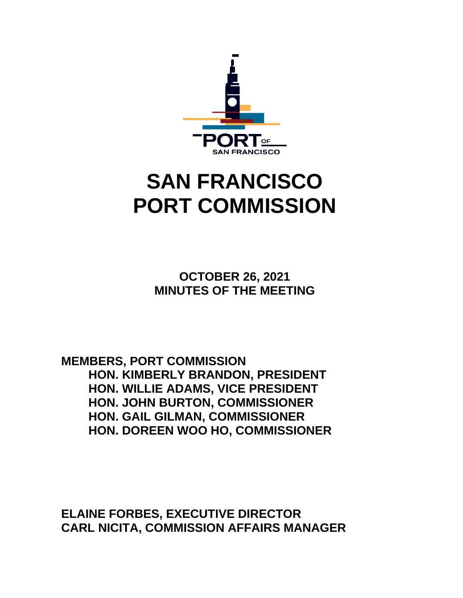

# **SAN FRANCISCO PORT COMMISSION**

**OCTOBER 26, 2021 MINUTES OF THE MEETING**

**MEMBERS, PORT COMMISSION HON. KIMBERLY BRANDON, PRESIDENT HON. WILLIE ADAMS, VICE PRESIDENT HON. JOHN BURTON, COMMISSIONER HON. GAIL GILMAN, COMMISSIONER HON. DOREEN WOO HO, COMMISSIONER**

**ELAINE FORBES, EXECUTIVE DIRECTOR CARL NICITA, COMMISSION AFFAIRS MANAGER**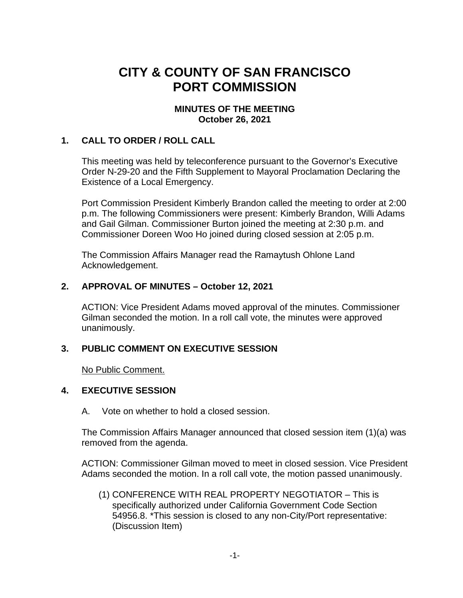# **CITY & COUNTY OF SAN FRANCISCO PORT COMMISSION**

# **MINUTES OF THE MEETING October 26, 2021**

# **1. CALL TO ORDER / ROLL CALL**

This meeting was held by teleconference pursuant to the Governor's Executive Order N-29-20 and the Fifth Supplement to Mayoral Proclamation Declaring the Existence of a Local Emergency.

Port Commission President Kimberly Brandon called the meeting to order at 2:00 p.m. The following Commissioners were present: Kimberly Brandon, Willi Adams and Gail Gilman. Commissioner Burton joined the meeting at 2:30 p.m. and Commissioner Doreen Woo Ho joined during closed session at 2:05 p.m.

The Commission Affairs Manager read the Ramaytush Ohlone Land Acknowledgement.

# **2. APPROVAL OF MINUTES – October 12, 2021**

ACTION: Vice President Adams moved approval of the minutes. Commissioner Gilman seconded the motion. In a roll call vote, the minutes were approved unanimously.

# **3. PUBLIC COMMENT ON EXECUTIVE SESSION**

No Public Comment.

# **4. EXECUTIVE SESSION**

A. Vote on whether to hold a closed session.

The Commission Affairs Manager announced that closed session item (1)(a) was removed from the agenda.

ACTION: Commissioner Gilman moved to meet in closed session. Vice President Adams seconded the motion. In a roll call vote, the motion passed unanimously.

(1) CONFERENCE WITH REAL PROPERTY NEGOTIATOR – This is specifically authorized under California Government Code Section 54956.8. \*This session is closed to any non-City/Port representative: (Discussion Item)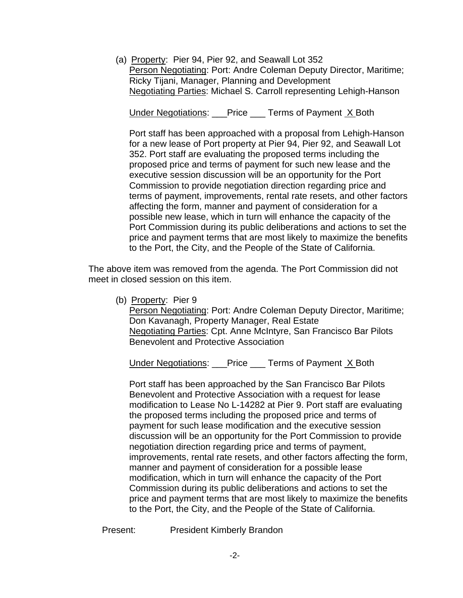(a) Property: Pier 94, Pier 92, and Seawall Lot 352 Person Negotiating: Port: Andre Coleman Deputy Director, Maritime; Ricky Tijani, Manager, Planning and Development Negotiating Parties: Michael S. Carroll representing Lehigh-Hanson

Under Negotiations: Price Terms of Payment X Both

Port staff has been approached with a proposal from Lehigh-Hanson for a new lease of Port property at Pier 94, Pier 92, and Seawall Lot 352. Port staff are evaluating the proposed terms including the proposed price and terms of payment for such new lease and the executive session discussion will be an opportunity for the Port Commission to provide negotiation direction regarding price and terms of payment, improvements, rental rate resets, and other factors affecting the form, manner and payment of consideration for a possible new lease, which in turn will enhance the capacity of the Port Commission during its public deliberations and actions to set the price and payment terms that are most likely to maximize the benefits to the Port, the City, and the People of the State of California.

The above item was removed from the agenda. The Port Commission did not meet in closed session on this item.

(b) Property: Pier 9

Person Negotiating: Port: Andre Coleman Deputy Director, Maritime; Don Kavanagh, Property Manager, Real Estate Negotiating Parties: Cpt. Anne McIntyre, San Francisco Bar Pilots Benevolent and Protective Association

Under Negotiations: \_\_\_Price \_\_\_ Terms of Payment X Both

Port staff has been approached by the San Francisco Bar Pilots Benevolent and Protective Association with a request for lease modification to Lease No L-14282 at Pier 9. Port staff are evaluating the proposed terms including the proposed price and terms of payment for such lease modification and the executive session discussion will be an opportunity for the Port Commission to provide negotiation direction regarding price and terms of payment, improvements, rental rate resets, and other factors affecting the form, manner and payment of consideration for a possible lease modification, which in turn will enhance the capacity of the Port Commission during its public deliberations and actions to set the price and payment terms that are most likely to maximize the benefits to the Port, the City, and the People of the State of California.

Present: President Kimberly Brandon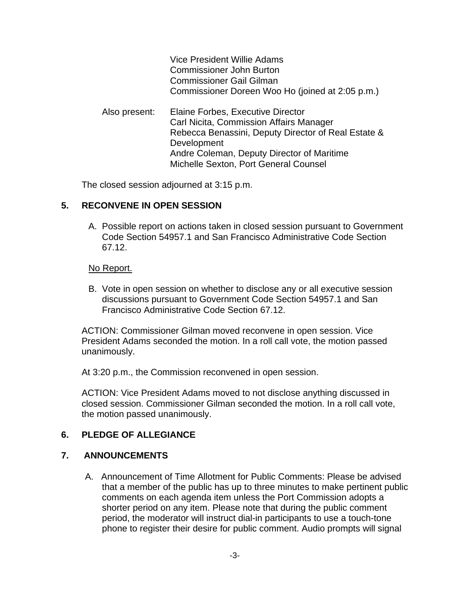|               | Vice President Willie Adams<br><b>Commissioner John Burton</b><br><b>Commissioner Gail Gilman</b><br>Commissioner Doreen Woo Ho (joined at 2:05 p.m.)                                                                                     |
|---------------|-------------------------------------------------------------------------------------------------------------------------------------------------------------------------------------------------------------------------------------------|
| Also present: | Elaine Forbes, Executive Director<br>Carl Nicita, Commission Affairs Manager<br>Rebecca Benassini, Deputy Director of Real Estate &<br>Development<br>Andre Coleman, Deputy Director of Maritime<br>Michelle Sexton, Port General Counsel |

The closed session adjourned at 3:15 p.m.

# **5. RECONVENE IN OPEN SESSION**

A. Possible report on actions taken in closed session pursuant to Government Code Section 54957.1 and San Francisco Administrative Code Section 67.12.

#### No Report.

B. Vote in open session on whether to disclose any or all executive session discussions pursuant to Government Code Section 54957.1 and San Francisco Administrative Code Section 67.12.

ACTION: Commissioner Gilman moved reconvene in open session. Vice President Adams seconded the motion. In a roll call vote, the motion passed unanimously.

At 3:20 p.m., the Commission reconvened in open session.

ACTION: Vice President Adams moved to not disclose anything discussed in closed session. Commissioner Gilman seconded the motion. In a roll call vote, the motion passed unanimously.

#### **6. PLEDGE OF ALLEGIANCE**

#### **7. ANNOUNCEMENTS**

A. Announcement of Time Allotment for Public Comments: Please be advised that a member of the public has up to three minutes to make pertinent public comments on each agenda item unless the Port Commission adopts a shorter period on any item. Please note that during the public comment period, the moderator will instruct dial-in participants to use a touch-tone phone to register their desire for public comment. Audio prompts will signal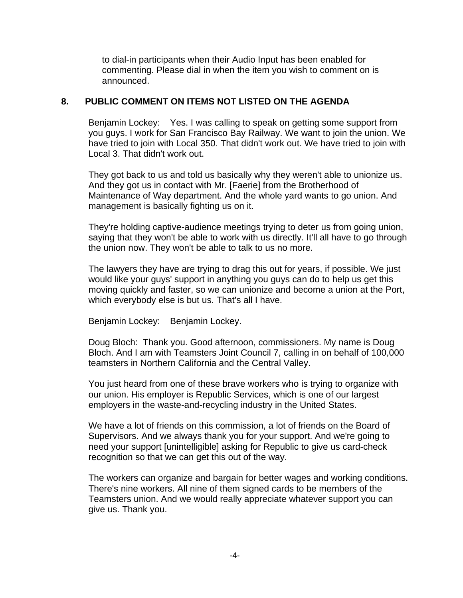to dial-in participants when their Audio Input has been enabled for commenting. Please dial in when the item you wish to comment on is announced.

### **8. PUBLIC COMMENT ON ITEMS NOT LISTED ON THE AGENDA**

Benjamin Lockey: Yes. I was calling to speak on getting some support from you guys. I work for San Francisco Bay Railway. We want to join the union. We have tried to join with Local 350. That didn't work out. We have tried to join with Local 3. That didn't work out.

They got back to us and told us basically why they weren't able to unionize us. And they got us in contact with Mr. [Faerie] from the Brotherhood of Maintenance of Way department. And the whole yard wants to go union. And management is basically fighting us on it.

They're holding captive-audience meetings trying to deter us from going union, saying that they won't be able to work with us directly. It'll all have to go through the union now. They won't be able to talk to us no more.

The lawyers they have are trying to drag this out for years, if possible. We just would like your guys' support in anything you guys can do to help us get this moving quickly and faster, so we can unionize and become a union at the Port, which everybody else is but us. That's all I have.

Benjamin Lockey: Benjamin Lockey.

Doug Bloch: Thank you. Good afternoon, commissioners. My name is Doug Bloch. And I am with Teamsters Joint Council 7, calling in on behalf of 100,000 teamsters in Northern California and the Central Valley.

You just heard from one of these brave workers who is trying to organize with our union. His employer is Republic Services, which is one of our largest employers in the waste-and-recycling industry in the United States.

We have a lot of friends on this commission, a lot of friends on the Board of Supervisors. And we always thank you for your support. And we're going to need your support [unintelligible] asking for Republic to give us card-check recognition so that we can get this out of the way.

The workers can organize and bargain for better wages and working conditions. There's nine workers. All nine of them signed cards to be members of the Teamsters union. And we would really appreciate whatever support you can give us. Thank you.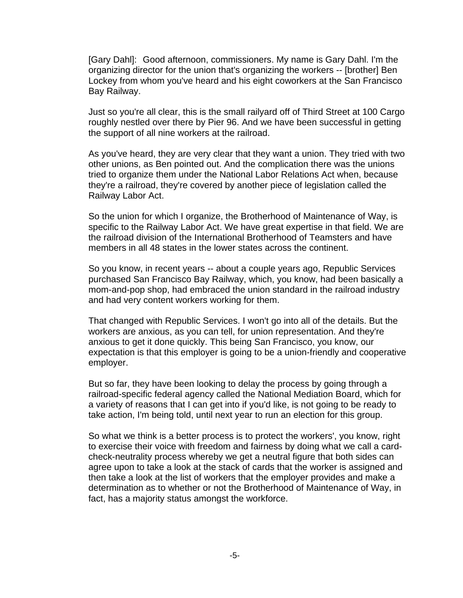[Gary Dahl]: Good afternoon, commissioners. My name is Gary Dahl. I'm the organizing director for the union that's organizing the workers -- [brother] Ben Lockey from whom you've heard and his eight coworkers at the San Francisco Bay Railway.

Just so you're all clear, this is the small railyard off of Third Street at 100 Cargo roughly nestled over there by Pier 96. And we have been successful in getting the support of all nine workers at the railroad.

As you've heard, they are very clear that they want a union. They tried with two other unions, as Ben pointed out. And the complication there was the unions tried to organize them under the National Labor Relations Act when, because they're a railroad, they're covered by another piece of legislation called the Railway Labor Act.

So the union for which I organize, the Brotherhood of Maintenance of Way, is specific to the Railway Labor Act. We have great expertise in that field. We are the railroad division of the International Brotherhood of Teamsters and have members in all 48 states in the lower states across the continent.

So you know, in recent years -- about a couple years ago, Republic Services purchased San Francisco Bay Railway, which, you know, had been basically a mom-and-pop shop, had embraced the union standard in the railroad industry and had very content workers working for them.

That changed with Republic Services. I won't go into all of the details. But the workers are anxious, as you can tell, for union representation. And they're anxious to get it done quickly. This being San Francisco, you know, our expectation is that this employer is going to be a union-friendly and cooperative employer.

But so far, they have been looking to delay the process by going through a railroad-specific federal agency called the National Mediation Board, which for a variety of reasons that I can get into if you'd like, is not going to be ready to take action, I'm being told, until next year to run an election for this group.

So what we think is a better process is to protect the workers', you know, right to exercise their voice with freedom and fairness by doing what we call a cardcheck-neutrality process whereby we get a neutral figure that both sides can agree upon to take a look at the stack of cards that the worker is assigned and then take a look at the list of workers that the employer provides and make a determination as to whether or not the Brotherhood of Maintenance of Way, in fact, has a majority status amongst the workforce.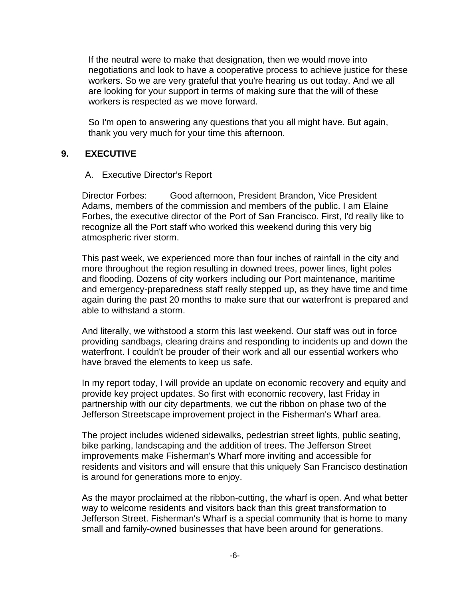If the neutral were to make that designation, then we would move into negotiations and look to have a cooperative process to achieve justice for these workers. So we are very grateful that you're hearing us out today. And we all are looking for your support in terms of making sure that the will of these workers is respected as we move forward.

So I'm open to answering any questions that you all might have. But again, thank you very much for your time this afternoon.

# **9. EXECUTIVE**

#### A. Executive Director's Report

Director Forbes: Good afternoon, President Brandon, Vice President Adams, members of the commission and members of the public. I am Elaine Forbes, the executive director of the Port of San Francisco. First, I'd really like to recognize all the Port staff who worked this weekend during this very big atmospheric river storm.

This past week, we experienced more than four inches of rainfall in the city and more throughout the region resulting in downed trees, power lines, light poles and flooding. Dozens of city workers including our Port maintenance, maritime and emergency-preparedness staff really stepped up, as they have time and time again during the past 20 months to make sure that our waterfront is prepared and able to withstand a storm.

And literally, we withstood a storm this last weekend. Our staff was out in force providing sandbags, clearing drains and responding to incidents up and down the waterfront. I couldn't be prouder of their work and all our essential workers who have braved the elements to keep us safe.

In my report today, I will provide an update on economic recovery and equity and provide key project updates. So first with economic recovery, last Friday in partnership with our city departments, we cut the ribbon on phase two of the Jefferson Streetscape improvement project in the Fisherman's Wharf area.

The project includes widened sidewalks, pedestrian street lights, public seating, bike parking, landscaping and the addition of trees. The Jefferson Street improvements make Fisherman's Wharf more inviting and accessible for residents and visitors and will ensure that this uniquely San Francisco destination is around for generations more to enjoy.

As the mayor proclaimed at the ribbon-cutting, the wharf is open. And what better way to welcome residents and visitors back than this great transformation to Jefferson Street. Fisherman's Wharf is a special community that is home to many small and family-owned businesses that have been around for generations.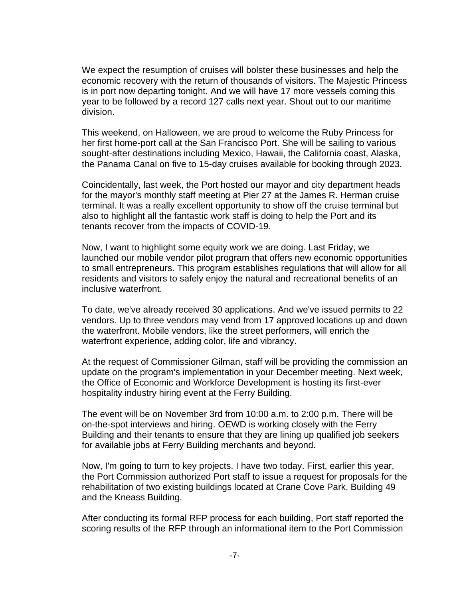We expect the resumption of cruises will bolster these businesses and help the economic recovery with the return of thousands of visitors. The Majestic Princess is in port now departing tonight. And we will have 17 more vessels coming this year to be followed by a record 127 calls next year. Shout out to our maritime division.

This weekend, on Halloween, we are proud to welcome the Ruby Princess for her first home-port call at the San Francisco Port. She will be sailing to various sought-after destinations including Mexico, Hawaii, the California coast, Alaska, the Panama Canal on five to 15-day cruises available for booking through 2023.

Coincidentally, last week, the Port hosted our mayor and city department heads for the mayor's monthly staff meeting at Pier 27 at the James R. Herman cruise terminal. It was a really excellent opportunity to show off the cruise terminal but also to highlight all the fantastic work staff is doing to help the Port and its tenants recover from the impacts of COVID-19.

Now, I want to highlight some equity work we are doing. Last Friday, we launched our mobile vendor pilot program that offers new economic opportunities to small entrepreneurs. This program establishes regulations that will allow for all residents and visitors to safely enjoy the natural and recreational benefits of an inclusive waterfront.

To date, we've already received 30 applications. And we've issued permits to 22 vendors. Up to three vendors may vend from 17 approved locations up and down the waterfront. Mobile vendors, like the street performers, will enrich the waterfront experience, adding color, life and vibrancy.

At the request of Commissioner Gilman, staff will be providing the commission an update on the program's implementation in your December meeting. Next week, the Office of Economic and Workforce Development is hosting its first-ever hospitality industry hiring event at the Ferry Building.

The event will be on November 3rd from 10:00 a.m. to 2:00 p.m. There will be on-the-spot interviews and hiring. OEWD is working closely with the Ferry Building and their tenants to ensure that they are lining up qualified job seekers for available jobs at Ferry Building merchants and beyond.

Now, I'm going to turn to key projects. I have two today. First, earlier this year, the Port Commission authorized Port staff to issue a request for proposals for the rehabilitation of two existing buildings located at Crane Cove Park, Building 49 and the Kneass Building.

After conducting its formal RFP process for each building, Port staff reported the scoring results of the RFP through an informational item to the Port Commission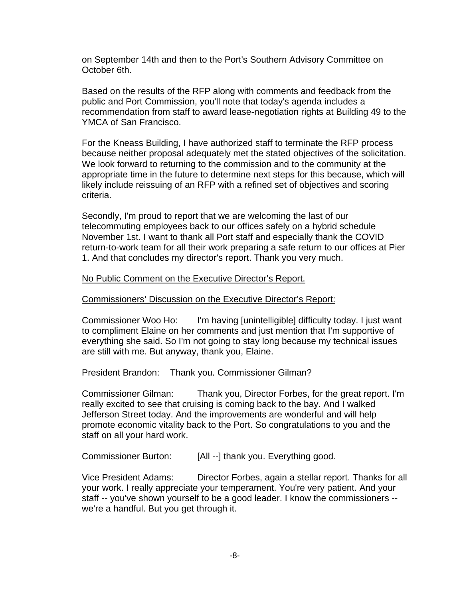on September 14th and then to the Port's Southern Advisory Committee on October 6th.

Based on the results of the RFP along with comments and feedback from the public and Port Commission, you'll note that today's agenda includes a recommendation from staff to award lease-negotiation rights at Building 49 to the YMCA of San Francisco.

For the Kneass Building, I have authorized staff to terminate the RFP process because neither proposal adequately met the stated objectives of the solicitation. We look forward to returning to the commission and to the community at the appropriate time in the future to determine next steps for this because, which will likely include reissuing of an RFP with a refined set of objectives and scoring criteria.

Secondly, I'm proud to report that we are welcoming the last of our telecommuting employees back to our offices safely on a hybrid schedule November 1st. I want to thank all Port staff and especially thank the COVID return-to-work team for all their work preparing a safe return to our offices at Pier 1. And that concludes my director's report. Thank you very much.

#### No Public Comment on the Executive Director's Report.

#### Commissioners' Discussion on the Executive Director's Report:

Commissioner Woo Ho: I'm having [unintelligible] difficulty today. I just want to compliment Elaine on her comments and just mention that I'm supportive of everything she said. So I'm not going to stay long because my technical issues are still with me. But anyway, thank you, Elaine.

President Brandon: Thank you. Commissioner Gilman?

Commissioner Gilman: Thank you, Director Forbes, for the great report. I'm really excited to see that cruising is coming back to the bay. And I walked Jefferson Street today. And the improvements are wonderful and will help promote economic vitality back to the Port. So congratulations to you and the staff on all your hard work.

Commissioner Burton: [All --] thank you. Everything good.

Vice President Adams: Director Forbes, again a stellar report. Thanks for all your work. I really appreciate your temperament. You're very patient. And your staff -- you've shown yourself to be a good leader. I know the commissioners - we're a handful. But you get through it.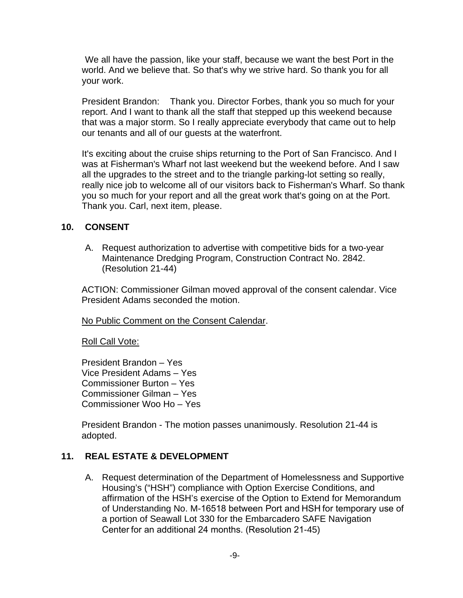We all have the passion, like your staff, because we want the best Port in the world. And we believe that. So that's why we strive hard. So thank you for all your work.

President Brandon: Thank you. Director Forbes, thank you so much for your report. And I want to thank all the staff that stepped up this weekend because that was a major storm. So I really appreciate everybody that came out to help our tenants and all of our guests at the waterfront.

It's exciting about the cruise ships returning to the Port of San Francisco. And I was at Fisherman's Wharf not last weekend but the weekend before. And I saw all the upgrades to the street and to the triangle parking-lot setting so really, really nice job to welcome all of our visitors back to Fisherman's Wharf. So thank you so much for your report and all the great work that's going on at the Port. Thank you. Carl, next item, please.

# **10. CONSENT**

A. Request authorization to advertise with competitive bids for a two-year Maintenance Dredging Program, Construction Contract No. 2842. (Resolution 21-44)

ACTION: Commissioner Gilman moved approval of the consent calendar. Vice President Adams seconded the motion.

No Public Comment on the Consent Calendar.

Roll Call Vote:

President Brandon – Yes Vice President Adams – Yes Commissioner Burton – Yes Commissioner Gilman – Yes Commissioner Woo Ho – Yes

President Brandon - The motion passes unanimously. Resolution 21-44 is adopted.

# **11. REAL ESTATE & DEVELOPMENT**

A. Request determination of the Department of Homelessness and Supportive Housing's ("HSH") compliance with Option Exercise Conditions, and affirmation of the HSH's exercise of the Option to Extend for Memorandum of Understanding No. M-16518 between Port and HSH for temporary use of a portion of Seawall Lot 330 for the Embarcadero SAFE Navigation Center for an additional 24 months. (Resolution 21-45)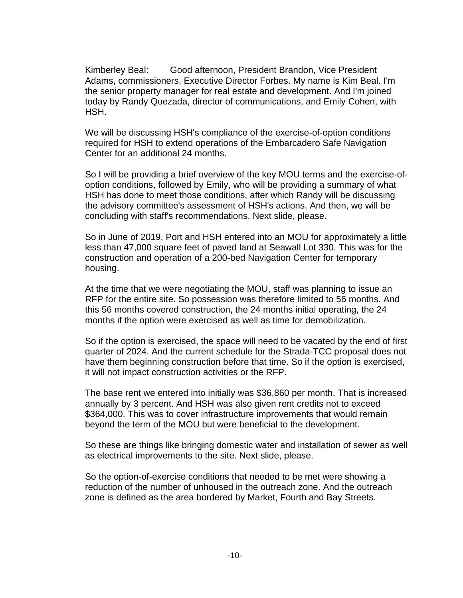Kimberley Beal: Good afternoon, President Brandon, Vice President Adams, commissioners, Executive Director Forbes. My name is Kim Beal. I'm the senior property manager for real estate and development. And I'm joined today by Randy Quezada, director of communications, and Emily Cohen, with HSH.

We will be discussing HSH's compliance of the exercise-of-option conditions required for HSH to extend operations of the Embarcadero Safe Navigation Center for an additional 24 months.

So I will be providing a brief overview of the key MOU terms and the exercise-ofoption conditions, followed by Emily, who will be providing a summary of what HSH has done to meet those conditions, after which Randy will be discussing the advisory committee's assessment of HSH's actions. And then, we will be concluding with staff's recommendations. Next slide, please.

So in June of 2019, Port and HSH entered into an MOU for approximately a little less than 47,000 square feet of paved land at Seawall Lot 330. This was for the construction and operation of a 200-bed Navigation Center for temporary housing.

At the time that we were negotiating the MOU, staff was planning to issue an RFP for the entire site. So possession was therefore limited to 56 months. And this 56 months covered construction, the 24 months initial operating, the 24 months if the option were exercised as well as time for demobilization.

So if the option is exercised, the space will need to be vacated by the end of first quarter of 2024. And the current schedule for the Strada-TCC proposal does not have them beginning construction before that time. So if the option is exercised, it will not impact construction activities or the RFP.

The base rent we entered into initially was \$36,860 per month. That is increased annually by 3 percent. And HSH was also given rent credits not to exceed \$364,000. This was to cover infrastructure improvements that would remain beyond the term of the MOU but were beneficial to the development.

So these are things like bringing domestic water and installation of sewer as well as electrical improvements to the site. Next slide, please.

So the option-of-exercise conditions that needed to be met were showing a reduction of the number of unhoused in the outreach zone. And the outreach zone is defined as the area bordered by Market, Fourth and Bay Streets.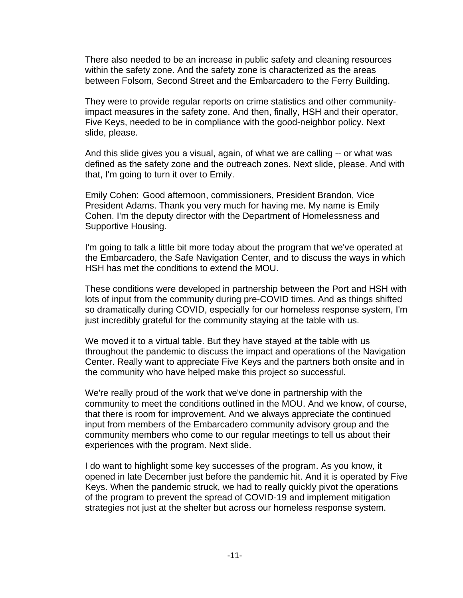There also needed to be an increase in public safety and cleaning resources within the safety zone. And the safety zone is characterized as the areas between Folsom, Second Street and the Embarcadero to the Ferry Building.

They were to provide regular reports on crime statistics and other communityimpact measures in the safety zone. And then, finally, HSH and their operator, Five Keys, needed to be in compliance with the good-neighbor policy. Next slide, please.

And this slide gives you a visual, again, of what we are calling -- or what was defined as the safety zone and the outreach zones. Next slide, please. And with that, I'm going to turn it over to Emily.

Emily Cohen: Good afternoon, commissioners, President Brandon, Vice President Adams. Thank you very much for having me. My name is Emily Cohen. I'm the deputy director with the Department of Homelessness and Supportive Housing.

I'm going to talk a little bit more today about the program that we've operated at the Embarcadero, the Safe Navigation Center, and to discuss the ways in which HSH has met the conditions to extend the MOU.

These conditions were developed in partnership between the Port and HSH with lots of input from the community during pre-COVID times. And as things shifted so dramatically during COVID, especially for our homeless response system, I'm just incredibly grateful for the community staying at the table with us.

We moved it to a virtual table. But they have stayed at the table with us throughout the pandemic to discuss the impact and operations of the Navigation Center. Really want to appreciate Five Keys and the partners both onsite and in the community who have helped make this project so successful.

We're really proud of the work that we've done in partnership with the community to meet the conditions outlined in the MOU. And we know, of course, that there is room for improvement. And we always appreciate the continued input from members of the Embarcadero community advisory group and the community members who come to our regular meetings to tell us about their experiences with the program. Next slide.

I do want to highlight some key successes of the program. As you know, it opened in late December just before the pandemic hit. And it is operated by Five Keys. When the pandemic struck, we had to really quickly pivot the operations of the program to prevent the spread of COVID-19 and implement mitigation strategies not just at the shelter but across our homeless response system.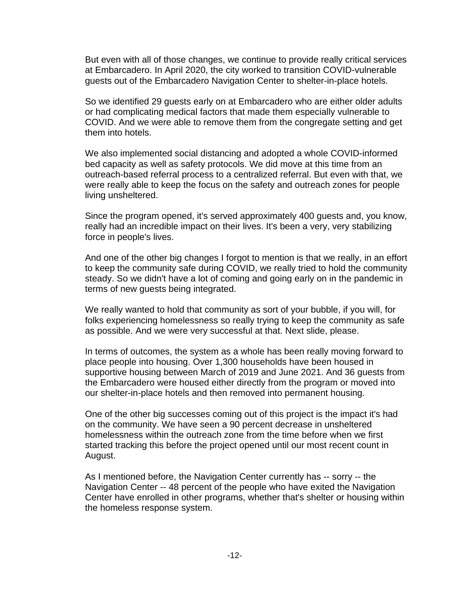But even with all of those changes, we continue to provide really critical services at Embarcadero. In April 2020, the city worked to transition COVID-vulnerable guests out of the Embarcadero Navigation Center to shelter-in-place hotels.

So we identified 29 guests early on at Embarcadero who are either older adults or had complicating medical factors that made them especially vulnerable to COVID. And we were able to remove them from the congregate setting and get them into hotels.

We also implemented social distancing and adopted a whole COVID-informed bed capacity as well as safety protocols. We did move at this time from an outreach-based referral process to a centralized referral. But even with that, we were really able to keep the focus on the safety and outreach zones for people living unsheltered.

Since the program opened, it's served approximately 400 guests and, you know, really had an incredible impact on their lives. It's been a very, very stabilizing force in people's lives.

And one of the other big changes I forgot to mention is that we really, in an effort to keep the community safe during COVID, we really tried to hold the community steady. So we didn't have a lot of coming and going early on in the pandemic in terms of new guests being integrated.

We really wanted to hold that community as sort of your bubble, if you will, for folks experiencing homelessness so really trying to keep the community as safe as possible. And we were very successful at that. Next slide, please.

In terms of outcomes, the system as a whole has been really moving forward to place people into housing. Over 1,300 households have been housed in supportive housing between March of 2019 and June 2021. And 36 guests from the Embarcadero were housed either directly from the program or moved into our shelter-in-place hotels and then removed into permanent housing.

One of the other big successes coming out of this project is the impact it's had on the community. We have seen a 90 percent decrease in unsheltered homelessness within the outreach zone from the time before when we first started tracking this before the project opened until our most recent count in August.

As I mentioned before, the Navigation Center currently has -- sorry -- the Navigation Center -- 48 percent of the people who have exited the Navigation Center have enrolled in other programs, whether that's shelter or housing within the homeless response system.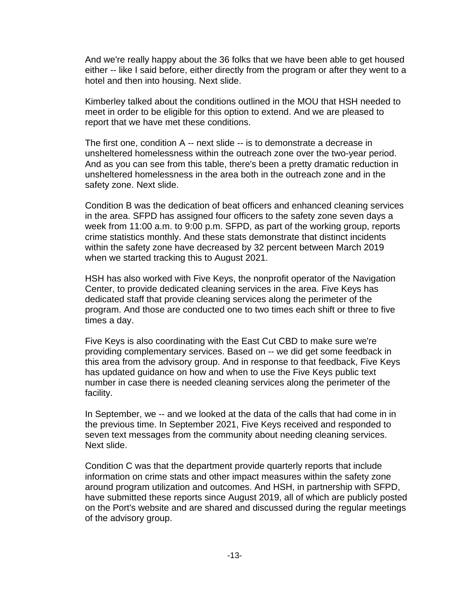And we're really happy about the 36 folks that we have been able to get housed either -- like I said before, either directly from the program or after they went to a hotel and then into housing. Next slide.

Kimberley talked about the conditions outlined in the MOU that HSH needed to meet in order to be eligible for this option to extend. And we are pleased to report that we have met these conditions.

The first one, condition A -- next slide -- is to demonstrate a decrease in unsheltered homelessness within the outreach zone over the two-year period. And as you can see from this table, there's been a pretty dramatic reduction in unsheltered homelessness in the area both in the outreach zone and in the safety zone. Next slide.

Condition B was the dedication of beat officers and enhanced cleaning services in the area. SFPD has assigned four officers to the safety zone seven days a week from 11:00 a.m. to 9:00 p.m. SFPD, as part of the working group, reports crime statistics monthly. And these stats demonstrate that distinct incidents within the safety zone have decreased by 32 percent between March 2019 when we started tracking this to August 2021.

HSH has also worked with Five Keys, the nonprofit operator of the Navigation Center, to provide dedicated cleaning services in the area. Five Keys has dedicated staff that provide cleaning services along the perimeter of the program. And those are conducted one to two times each shift or three to five times a day.

Five Keys is also coordinating with the East Cut CBD to make sure we're providing complementary services. Based on -- we did get some feedback in this area from the advisory group. And in response to that feedback, Five Keys has updated guidance on how and when to use the Five Keys public text number in case there is needed cleaning services along the perimeter of the facility.

In September, we -- and we looked at the data of the calls that had come in in the previous time. In September 2021, Five Keys received and responded to seven text messages from the community about needing cleaning services. Next slide.

Condition C was that the department provide quarterly reports that include information on crime stats and other impact measures within the safety zone around program utilization and outcomes. And HSH, in partnership with SFPD, have submitted these reports since August 2019, all of which are publicly posted on the Port's website and are shared and discussed during the regular meetings of the advisory group.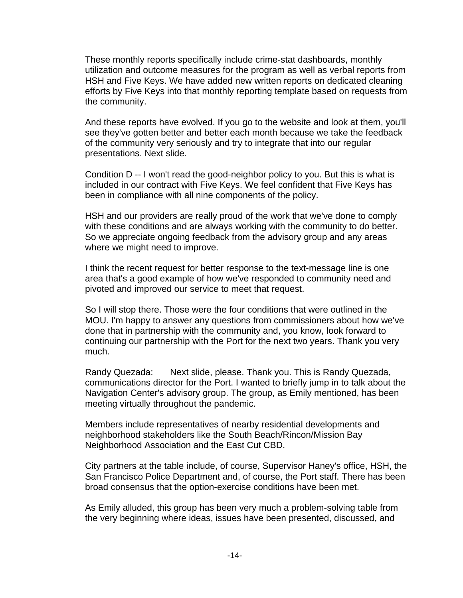These monthly reports specifically include crime-stat dashboards, monthly utilization and outcome measures for the program as well as verbal reports from HSH and Five Keys. We have added new written reports on dedicated cleaning efforts by Five Keys into that monthly reporting template based on requests from the community.

And these reports have evolved. If you go to the website and look at them, you'll see they've gotten better and better each month because we take the feedback of the community very seriously and try to integrate that into our regular presentations. Next slide.

Condition D -- I won't read the good-neighbor policy to you. But this is what is included in our contract with Five Keys. We feel confident that Five Keys has been in compliance with all nine components of the policy.

HSH and our providers are really proud of the work that we've done to comply with these conditions and are always working with the community to do better. So we appreciate ongoing feedback from the advisory group and any areas where we might need to improve.

I think the recent request for better response to the text-message line is one area that's a good example of how we've responded to community need and pivoted and improved our service to meet that request.

So I will stop there. Those were the four conditions that were outlined in the MOU. I'm happy to answer any questions from commissioners about how we've done that in partnership with the community and, you know, look forward to continuing our partnership with the Port for the next two years. Thank you very much.

Randy Quezada: Next slide, please. Thank you. This is Randy Quezada, communications director for the Port. I wanted to briefly jump in to talk about the Navigation Center's advisory group. The group, as Emily mentioned, has been meeting virtually throughout the pandemic.

Members include representatives of nearby residential developments and neighborhood stakeholders like the South Beach/Rincon/Mission Bay Neighborhood Association and the East Cut CBD.

City partners at the table include, of course, Supervisor Haney's office, HSH, the San Francisco Police Department and, of course, the Port staff. There has been broad consensus that the option-exercise conditions have been met.

As Emily alluded, this group has been very much a problem-solving table from the very beginning where ideas, issues have been presented, discussed, and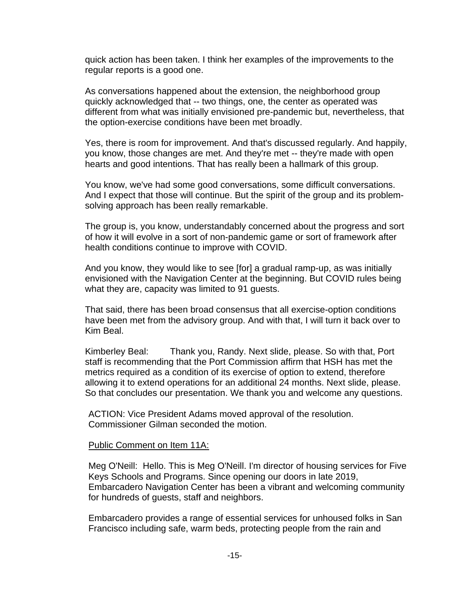quick action has been taken. I think her examples of the improvements to the regular reports is a good one.

As conversations happened about the extension, the neighborhood group quickly acknowledged that -- two things, one, the center as operated was different from what was initially envisioned pre-pandemic but, nevertheless, that the option-exercise conditions have been met broadly.

Yes, there is room for improvement. And that's discussed regularly. And happily, you know, those changes are met. And they're met -- they're made with open hearts and good intentions. That has really been a hallmark of this group.

You know, we've had some good conversations, some difficult conversations. And I expect that those will continue. But the spirit of the group and its problemsolving approach has been really remarkable.

The group is, you know, understandably concerned about the progress and sort of how it will evolve in a sort of non-pandemic game or sort of framework after health conditions continue to improve with COVID.

And you know, they would like to see [for] a gradual ramp-up, as was initially envisioned with the Navigation Center at the beginning. But COVID rules being what they are, capacity was limited to 91 guests.

That said, there has been broad consensus that all exercise-option conditions have been met from the advisory group. And with that, I will turn it back over to Kim Beal.

Kimberley Beal: Thank you, Randy. Next slide, please. So with that, Port staff is recommending that the Port Commission affirm that HSH has met the metrics required as a condition of its exercise of option to extend, therefore allowing it to extend operations for an additional 24 months. Next slide, please. So that concludes our presentation. We thank you and welcome any questions.

ACTION: Vice President Adams moved approval of the resolution. Commissioner Gilman seconded the motion.

#### Public Comment on Item 11A:

Meg O'Neill: Hello. This is Meg O'Neill. I'm director of housing services for Five Keys Schools and Programs. Since opening our doors in late 2019, Embarcadero Navigation Center has been a vibrant and welcoming community for hundreds of guests, staff and neighbors.

Embarcadero provides a range of essential services for unhoused folks in San Francisco including safe, warm beds, protecting people from the rain and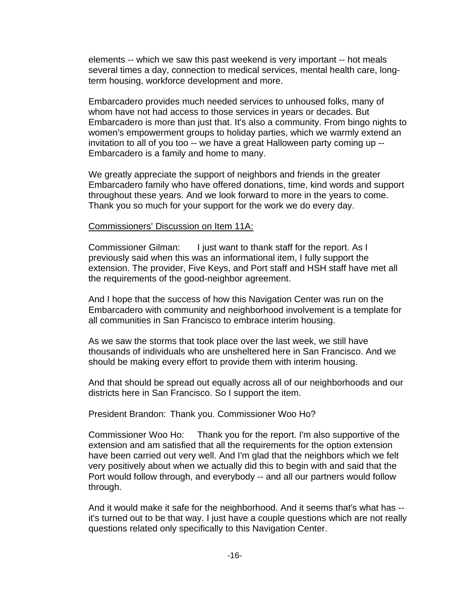elements -- which we saw this past weekend is very important -- hot meals several times a day, connection to medical services, mental health care, longterm housing, workforce development and more.

Embarcadero provides much needed services to unhoused folks, many of whom have not had access to those services in years or decades. But Embarcadero is more than just that. It's also a community. From bingo nights to women's empowerment groups to holiday parties, which we warmly extend an invitation to all of you too -- we have a great Halloween party coming up -- Embarcadero is a family and home to many.

We greatly appreciate the support of neighbors and friends in the greater Embarcadero family who have offered donations, time, kind words and support throughout these years. And we look forward to more in the years to come. Thank you so much for your support for the work we do every day.

#### Commissioners' Discussion on Item 11A:

Commissioner Gilman: I just want to thank staff for the report. As I previously said when this was an informational item, I fully support the extension. The provider, Five Keys, and Port staff and HSH staff have met all the requirements of the good-neighbor agreement.

And I hope that the success of how this Navigation Center was run on the Embarcadero with community and neighborhood involvement is a template for all communities in San Francisco to embrace interim housing.

As we saw the storms that took place over the last week, we still have thousands of individuals who are unsheltered here in San Francisco. And we should be making every effort to provide them with interim housing.

And that should be spread out equally across all of our neighborhoods and our districts here in San Francisco. So I support the item.

# President Brandon: Thank you. Commissioner Woo Ho?

Commissioner Woo Ho: Thank you for the report. I'm also supportive of the extension and am satisfied that all the requirements for the option extension have been carried out very well. And I'm glad that the neighbors which we felt very positively about when we actually did this to begin with and said that the Port would follow through, and everybody -- and all our partners would follow through.

And it would make it safe for the neighborhood. And it seems that's what has - it's turned out to be that way. I just have a couple questions which are not really questions related only specifically to this Navigation Center.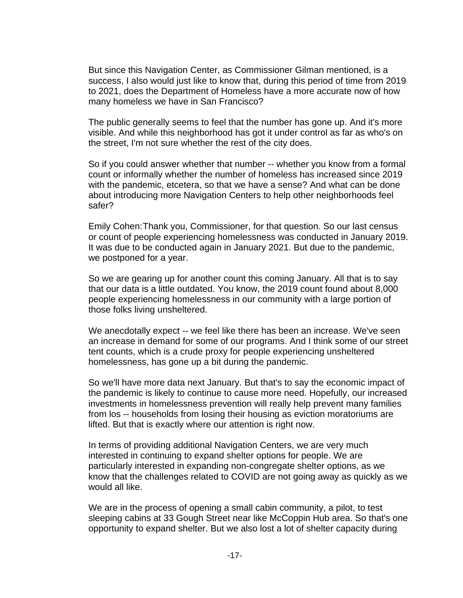But since this Navigation Center, as Commissioner Gilman mentioned, is a success, I also would just like to know that, during this period of time from 2019 to 2021, does the Department of Homeless have a more accurate now of how many homeless we have in San Francisco?

The public generally seems to feel that the number has gone up. And it's more visible. And while this neighborhood has got it under control as far as who's on the street, I'm not sure whether the rest of the city does.

So if you could answer whether that number -- whether you know from a formal count or informally whether the number of homeless has increased since 2019 with the pandemic, etcetera, so that we have a sense? And what can be done about introducing more Navigation Centers to help other neighborhoods feel safer?

Emily Cohen:Thank you, Commissioner, for that question. So our last census or count of people experiencing homelessness was conducted in January 2019. It was due to be conducted again in January 2021. But due to the pandemic, we postponed for a year.

So we are gearing up for another count this coming January. All that is to say that our data is a little outdated. You know, the 2019 count found about 8,000 people experiencing homelessness in our community with a large portion of those folks living unsheltered.

We anecdotally expect -- we feel like there has been an increase. We've seen an increase in demand for some of our programs. And I think some of our street tent counts, which is a crude proxy for people experiencing unsheltered homelessness, has gone up a bit during the pandemic.

So we'll have more data next January. But that's to say the economic impact of the pandemic is likely to continue to cause more need. Hopefully, our increased investments in homelessness prevention will really help prevent many families from los -- households from losing their housing as eviction moratoriums are lifted. But that is exactly where our attention is right now.

In terms of providing additional Navigation Centers, we are very much interested in continuing to expand shelter options for people. We are particularly interested in expanding non-congregate shelter options, as we know that the challenges related to COVID are not going away as quickly as we would all like.

We are in the process of opening a small cabin community, a pilot, to test sleeping cabins at 33 Gough Street near like McCoppin Hub area. So that's one opportunity to expand shelter. But we also lost a lot of shelter capacity during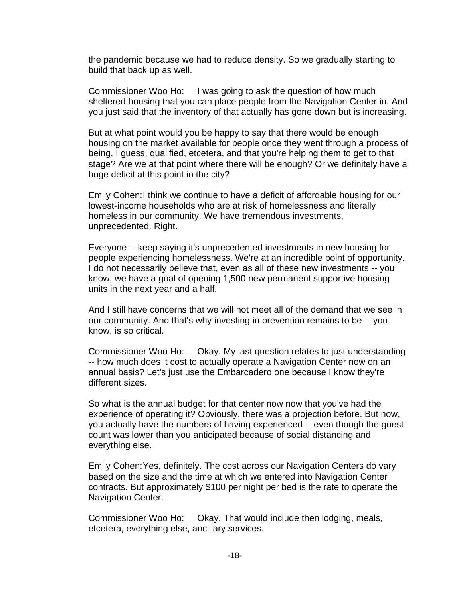the pandemic because we had to reduce density. So we gradually starting to build that back up as well.

Commissioner Woo Ho: I was going to ask the question of how much sheltered housing that you can place people from the Navigation Center in. And you just said that the inventory of that actually has gone down but is increasing.

But at what point would you be happy to say that there would be enough housing on the market available for people once they went through a process of being, I guess, qualified, etcetera, and that you're helping them to get to that stage? Are we at that point where there will be enough? Or we definitely have a huge deficit at this point in the city?

Emily Cohen:I think we continue to have a deficit of affordable housing for our lowest-income households who are at risk of homelessness and literally homeless in our community. We have tremendous investments, unprecedented. Right.

Everyone -- keep saying it's unprecedented investments in new housing for people experiencing homelessness. We're at an incredible point of opportunity. I do not necessarily believe that, even as all of these new investments -- you know, we have a goal of opening 1,500 new permanent supportive housing units in the next year and a half.

And I still have concerns that we will not meet all of the demand that we see in our community. And that's why investing in prevention remains to be -- you know, is so critical.

Commissioner Woo Ho: Okay. My last question relates to just understanding -- how much does it cost to actually operate a Navigation Center now on an annual basis? Let's just use the Embarcadero one because I know they're different sizes.

So what is the annual budget for that center now now that you've had the experience of operating it? Obviously, there was a projection before. But now, you actually have the numbers of having experienced -- even though the guest count was lower than you anticipated because of social distancing and everything else.

Emily Cohen:Yes, definitely. The cost across our Navigation Centers do vary based on the size and the time at which we entered into Navigation Center contracts. But approximately \$100 per night per bed is the rate to operate the Navigation Center.

Commissioner Woo Ho: Okay. That would include then lodging, meals, etcetera, everything else, ancillary services.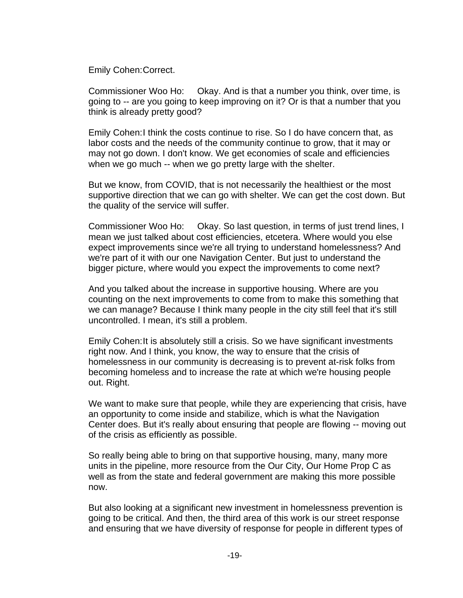Emily Cohen:Correct.

Commissioner Woo Ho: Okay. And is that a number you think, over time, is going to -- are you going to keep improving on it? Or is that a number that you think is already pretty good?

Emily Cohen:I think the costs continue to rise. So I do have concern that, as labor costs and the needs of the community continue to grow, that it may or may not go down. I don't know. We get economies of scale and efficiencies when we go much -- when we go pretty large with the shelter.

But we know, from COVID, that is not necessarily the healthiest or the most supportive direction that we can go with shelter. We can get the cost down. But the quality of the service will suffer.

Commissioner Woo Ho: Okay. So last question, in terms of just trend lines, I mean we just talked about cost efficiencies, etcetera. Where would you else expect improvements since we're all trying to understand homelessness? And we're part of it with our one Navigation Center. But just to understand the bigger picture, where would you expect the improvements to come next?

And you talked about the increase in supportive housing. Where are you counting on the next improvements to come from to make this something that we can manage? Because I think many people in the city still feel that it's still uncontrolled. I mean, it's still a problem.

Emily Cohen:It is absolutely still a crisis. So we have significant investments right now. And I think, you know, the way to ensure that the crisis of homelessness in our community is decreasing is to prevent at-risk folks from becoming homeless and to increase the rate at which we're housing people out. Right.

We want to make sure that people, while they are experiencing that crisis, have an opportunity to come inside and stabilize, which is what the Navigation Center does. But it's really about ensuring that people are flowing -- moving out of the crisis as efficiently as possible.

So really being able to bring on that supportive housing, many, many more units in the pipeline, more resource from the Our City, Our Home Prop C as well as from the state and federal government are making this more possible now.

But also looking at a significant new investment in homelessness prevention is going to be critical. And then, the third area of this work is our street response and ensuring that we have diversity of response for people in different types of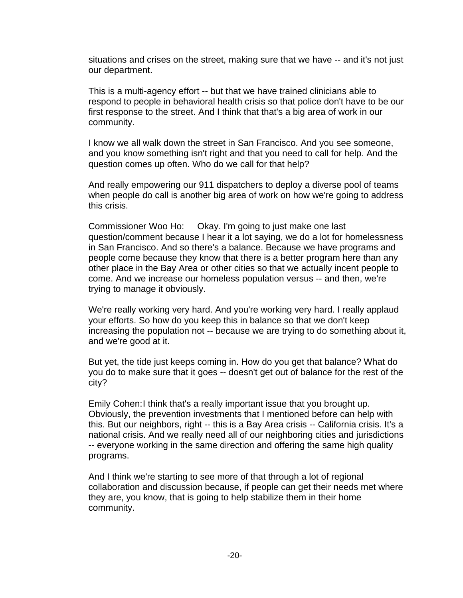situations and crises on the street, making sure that we have -- and it's not just our department.

This is a multi-agency effort -- but that we have trained clinicians able to respond to people in behavioral health crisis so that police don't have to be our first response to the street. And I think that that's a big area of work in our community.

I know we all walk down the street in San Francisco. And you see someone, and you know something isn't right and that you need to call for help. And the question comes up often. Who do we call for that help?

And really empowering our 911 dispatchers to deploy a diverse pool of teams when people do call is another big area of work on how we're going to address this crisis.

Commissioner Woo Ho: Okay. I'm going to just make one last question/comment because I hear it a lot saying, we do a lot for homelessness in San Francisco. And so there's a balance. Because we have programs and people come because they know that there is a better program here than any other place in the Bay Area or other cities so that we actually incent people to come. And we increase our homeless population versus -- and then, we're trying to manage it obviously.

We're really working very hard. And you're working very hard. I really applaud your efforts. So how do you keep this in balance so that we don't keep increasing the population not -- because we are trying to do something about it, and we're good at it.

But yet, the tide just keeps coming in. How do you get that balance? What do you do to make sure that it goes -- doesn't get out of balance for the rest of the city?

Emily Cohen:I think that's a really important issue that you brought up. Obviously, the prevention investments that I mentioned before can help with this. But our neighbors, right -- this is a Bay Area crisis -- California crisis. It's a national crisis. And we really need all of our neighboring cities and jurisdictions -- everyone working in the same direction and offering the same high quality programs.

And I think we're starting to see more of that through a lot of regional collaboration and discussion because, if people can get their needs met where they are, you know, that is going to help stabilize them in their home community.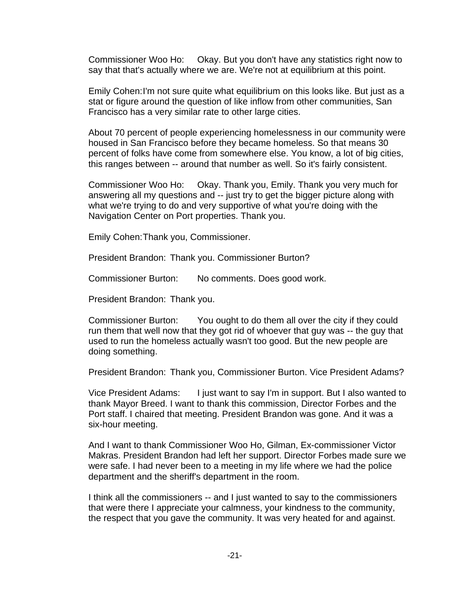Commissioner Woo Ho: Okay. But you don't have any statistics right now to say that that's actually where we are. We're not at equilibrium at this point.

Emily Cohen:I'm not sure quite what equilibrium on this looks like. But just as a stat or figure around the question of like inflow from other communities, San Francisco has a very similar rate to other large cities.

About 70 percent of people experiencing homelessness in our community were housed in San Francisco before they became homeless. So that means 30 percent of folks have come from somewhere else. You know, a lot of big cities, this ranges between -- around that number as well. So it's fairly consistent.

Commissioner Woo Ho: Okay. Thank you, Emily. Thank you very much for answering all my questions and -- just try to get the bigger picture along with what we're trying to do and very supportive of what you're doing with the Navigation Center on Port properties. Thank you.

Emily Cohen:Thank you, Commissioner.

President Brandon: Thank you. Commissioner Burton?

Commissioner Burton: No comments. Does good work.

President Brandon: Thank you.

Commissioner Burton: You ought to do them all over the city if they could run them that well now that they got rid of whoever that guy was -- the guy that used to run the homeless actually wasn't too good. But the new people are doing something.

President Brandon: Thank you, Commissioner Burton. Vice President Adams?

Vice President Adams: I just want to say I'm in support. But I also wanted to thank Mayor Breed. I want to thank this commission, Director Forbes and the Port staff. I chaired that meeting. President Brandon was gone. And it was a six-hour meeting.

And I want to thank Commissioner Woo Ho, Gilman, Ex-commissioner Victor Makras. President Brandon had left her support. Director Forbes made sure we were safe. I had never been to a meeting in my life where we had the police department and the sheriff's department in the room.

I think all the commissioners -- and I just wanted to say to the commissioners that were there I appreciate your calmness, your kindness to the community, the respect that you gave the community. It was very heated for and against.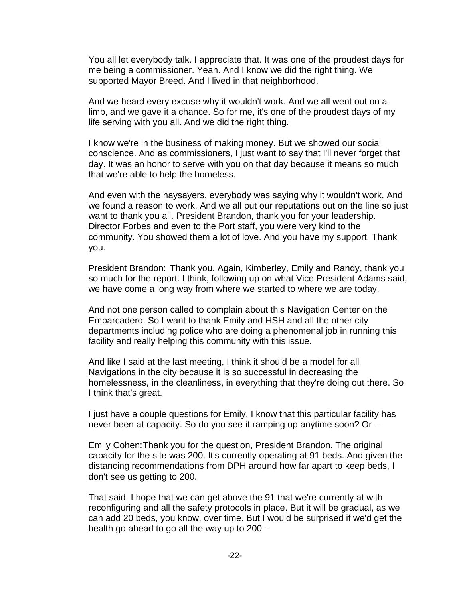You all let everybody talk. I appreciate that. It was one of the proudest days for me being a commissioner. Yeah. And I know we did the right thing. We supported Mayor Breed. And I lived in that neighborhood.

And we heard every excuse why it wouldn't work. And we all went out on a limb, and we gave it a chance. So for me, it's one of the proudest days of my life serving with you all. And we did the right thing.

I know we're in the business of making money. But we showed our social conscience. And as commissioners, I just want to say that I'll never forget that day. It was an honor to serve with you on that day because it means so much that we're able to help the homeless.

And even with the naysayers, everybody was saying why it wouldn't work. And we found a reason to work. And we all put our reputations out on the line so just want to thank you all. President Brandon, thank you for your leadership. Director Forbes and even to the Port staff, you were very kind to the community. You showed them a lot of love. And you have my support. Thank you.

President Brandon: Thank you. Again, Kimberley, Emily and Randy, thank you so much for the report. I think, following up on what Vice President Adams said, we have come a long way from where we started to where we are today.

And not one person called to complain about this Navigation Center on the Embarcadero. So I want to thank Emily and HSH and all the other city departments including police who are doing a phenomenal job in running this facility and really helping this community with this issue.

And like I said at the last meeting, I think it should be a model for all Navigations in the city because it is so successful in decreasing the homelessness, in the cleanliness, in everything that they're doing out there. So I think that's great.

I just have a couple questions for Emily. I know that this particular facility has never been at capacity. So do you see it ramping up anytime soon? Or --

Emily Cohen:Thank you for the question, President Brandon. The original capacity for the site was 200. It's currently operating at 91 beds. And given the distancing recommendations from DPH around how far apart to keep beds, I don't see us getting to 200.

That said, I hope that we can get above the 91 that we're currently at with reconfiguring and all the safety protocols in place. But it will be gradual, as we can add 20 beds, you know, over time. But I would be surprised if we'd get the health go ahead to go all the way up to 200 --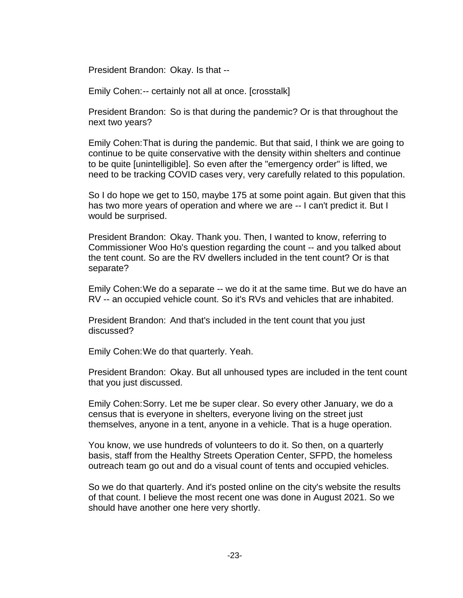President Brandon: Okay. Is that --

Emily Cohen:-- certainly not all at once. [crosstalk]

President Brandon: So is that during the pandemic? Or is that throughout the next two years?

Emily Cohen:That is during the pandemic. But that said, I think we are going to continue to be quite conservative with the density within shelters and continue to be quite [unintelligible]. So even after the "emergency order" is lifted, we need to be tracking COVID cases very, very carefully related to this population.

So I do hope we get to 150, maybe 175 at some point again. But given that this has two more years of operation and where we are -- I can't predict it. But I would be surprised.

President Brandon: Okay. Thank you. Then, I wanted to know, referring to Commissioner Woo Ho's question regarding the count -- and you talked about the tent count. So are the RV dwellers included in the tent count? Or is that separate?

Emily Cohen:We do a separate -- we do it at the same time. But we do have an RV -- an occupied vehicle count. So it's RVs and vehicles that are inhabited.

President Brandon: And that's included in the tent count that you just discussed?

Emily Cohen:We do that quarterly. Yeah.

President Brandon: Okay. But all unhoused types are included in the tent count that you just discussed.

Emily Cohen:Sorry. Let me be super clear. So every other January, we do a census that is everyone in shelters, everyone living on the street just themselves, anyone in a tent, anyone in a vehicle. That is a huge operation.

You know, we use hundreds of volunteers to do it. So then, on a quarterly basis, staff from the Healthy Streets Operation Center, SFPD, the homeless outreach team go out and do a visual count of tents and occupied vehicles.

So we do that quarterly. And it's posted online on the city's website the results of that count. I believe the most recent one was done in August 2021. So we should have another one here very shortly.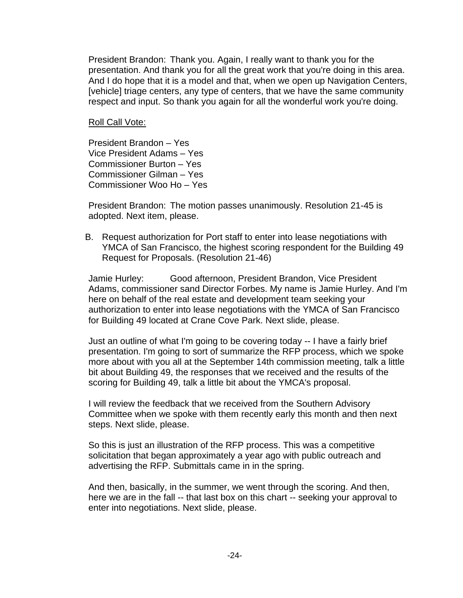President Brandon: Thank you. Again, I really want to thank you for the presentation. And thank you for all the great work that you're doing in this area. And I do hope that it is a model and that, when we open up Navigation Centers, [vehicle] triage centers, any type of centers, that we have the same community respect and input. So thank you again for all the wonderful work you're doing.

#### Roll Call Vote:

President Brandon – Yes Vice President Adams – Yes Commissioner Burton – Yes Commissioner Gilman – Yes Commissioner Woo Ho – Yes

President Brandon: The motion passes unanimously. Resolution 21-45 is adopted. Next item, please.

B. Request authorization for Port staff to enter into lease negotiations with YMCA of San Francisco, the highest scoring respondent for the Building 49 Request for Proposals. (Resolution 21-46)

Jamie Hurley: Good afternoon, President Brandon, Vice President Adams, commissioner sand Director Forbes. My name is Jamie Hurley. And I'm here on behalf of the real estate and development team seeking your authorization to enter into lease negotiations with the YMCA of San Francisco for Building 49 located at Crane Cove Park. Next slide, please.

Just an outline of what I'm going to be covering today -- I have a fairly brief presentation. I'm going to sort of summarize the RFP process, which we spoke more about with you all at the September 14th commission meeting, talk a little bit about Building 49, the responses that we received and the results of the scoring for Building 49, talk a little bit about the YMCA's proposal.

I will review the feedback that we received from the Southern Advisory Committee when we spoke with them recently early this month and then next steps. Next slide, please.

So this is just an illustration of the RFP process. This was a competitive solicitation that began approximately a year ago with public outreach and advertising the RFP. Submittals came in in the spring.

And then, basically, in the summer, we went through the scoring. And then, here we are in the fall -- that last box on this chart -- seeking your approval to enter into negotiations. Next slide, please.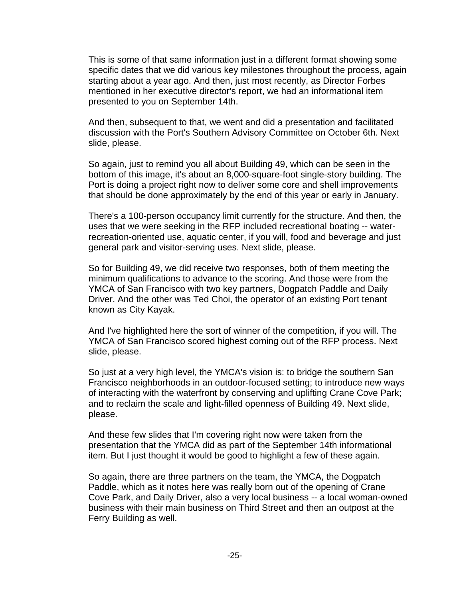This is some of that same information just in a different format showing some specific dates that we did various key milestones throughout the process, again starting about a year ago. And then, just most recently, as Director Forbes mentioned in her executive director's report, we had an informational item presented to you on September 14th.

And then, subsequent to that, we went and did a presentation and facilitated discussion with the Port's Southern Advisory Committee on October 6th. Next slide, please.

So again, just to remind you all about Building 49, which can be seen in the bottom of this image, it's about an 8,000-square-foot single-story building. The Port is doing a project right now to deliver some core and shell improvements that should be done approximately by the end of this year or early in January.

There's a 100-person occupancy limit currently for the structure. And then, the uses that we were seeking in the RFP included recreational boating -- waterrecreation-oriented use, aquatic center, if you will, food and beverage and just general park and visitor-serving uses. Next slide, please.

So for Building 49, we did receive two responses, both of them meeting the minimum qualifications to advance to the scoring. And those were from the YMCA of San Francisco with two key partners, Dogpatch Paddle and Daily Driver. And the other was Ted Choi, the operator of an existing Port tenant known as City Kayak.

And I've highlighted here the sort of winner of the competition, if you will. The YMCA of San Francisco scored highest coming out of the RFP process. Next slide, please.

So just at a very high level, the YMCA's vision is: to bridge the southern San Francisco neighborhoods in an outdoor-focused setting; to introduce new ways of interacting with the waterfront by conserving and uplifting Crane Cove Park; and to reclaim the scale and light-filled openness of Building 49. Next slide, please.

And these few slides that I'm covering right now were taken from the presentation that the YMCA did as part of the September 14th informational item. But I just thought it would be good to highlight a few of these again.

So again, there are three partners on the team, the YMCA, the Dogpatch Paddle, which as it notes here was really born out of the opening of Crane Cove Park, and Daily Driver, also a very local business -- a local woman-owned business with their main business on Third Street and then an outpost at the Ferry Building as well.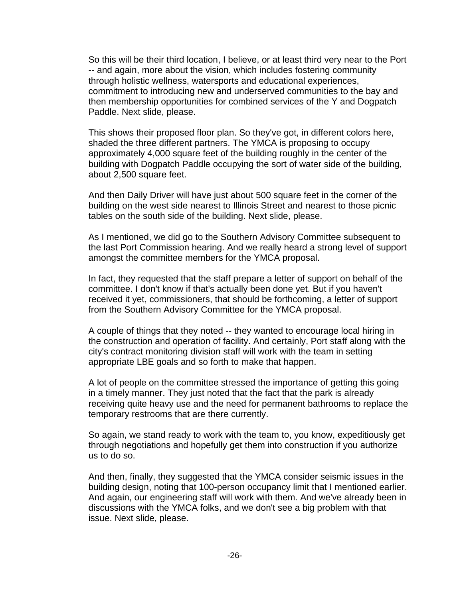So this will be their third location, I believe, or at least third very near to the Port -- and again, more about the vision, which includes fostering community through holistic wellness, watersports and educational experiences, commitment to introducing new and underserved communities to the bay and then membership opportunities for combined services of the Y and Dogpatch Paddle. Next slide, please.

This shows their proposed floor plan. So they've got, in different colors here, shaded the three different partners. The YMCA is proposing to occupy approximately 4,000 square feet of the building roughly in the center of the building with Dogpatch Paddle occupying the sort of water side of the building, about 2,500 square feet.

And then Daily Driver will have just about 500 square feet in the corner of the building on the west side nearest to Illinois Street and nearest to those picnic tables on the south side of the building. Next slide, please.

As I mentioned, we did go to the Southern Advisory Committee subsequent to the last Port Commission hearing. And we really heard a strong level of support amongst the committee members for the YMCA proposal.

In fact, they requested that the staff prepare a letter of support on behalf of the committee. I don't know if that's actually been done yet. But if you haven't received it yet, commissioners, that should be forthcoming, a letter of support from the Southern Advisory Committee for the YMCA proposal.

A couple of things that they noted -- they wanted to encourage local hiring in the construction and operation of facility. And certainly, Port staff along with the city's contract monitoring division staff will work with the team in setting appropriate LBE goals and so forth to make that happen.

A lot of people on the committee stressed the importance of getting this going in a timely manner. They just noted that the fact that the park is already receiving quite heavy use and the need for permanent bathrooms to replace the temporary restrooms that are there currently.

So again, we stand ready to work with the team to, you know, expeditiously get through negotiations and hopefully get them into construction if you authorize us to do so.

And then, finally, they suggested that the YMCA consider seismic issues in the building design, noting that 100-person occupancy limit that I mentioned earlier. And again, our engineering staff will work with them. And we've already been in discussions with the YMCA folks, and we don't see a big problem with that issue. Next slide, please.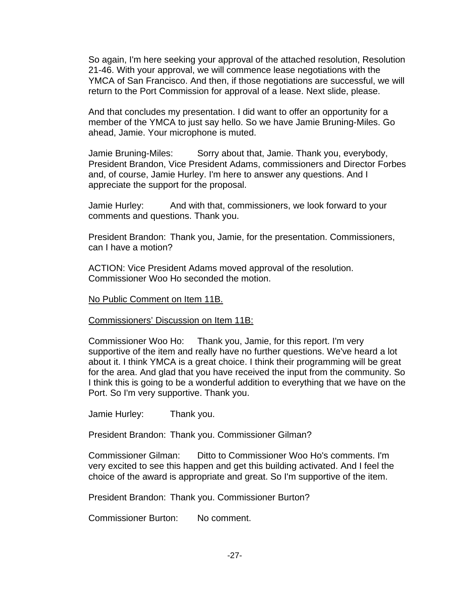So again, I'm here seeking your approval of the attached resolution, Resolution 21-46. With your approval, we will commence lease negotiations with the YMCA of San Francisco. And then, if those negotiations are successful, we will return to the Port Commission for approval of a lease. Next slide, please.

And that concludes my presentation. I did want to offer an opportunity for a member of the YMCA to just say hello. So we have Jamie Bruning-Miles. Go ahead, Jamie. Your microphone is muted.

Jamie Bruning-Miles: Sorry about that, Jamie. Thank you, everybody, President Brandon, Vice President Adams, commissioners and Director Forbes and, of course, Jamie Hurley. I'm here to answer any questions. And I appreciate the support for the proposal.

Jamie Hurley: And with that, commissioners, we look forward to your comments and questions. Thank you.

President Brandon: Thank you, Jamie, for the presentation. Commissioners, can I have a motion?

ACTION: Vice President Adams moved approval of the resolution. Commissioner Woo Ho seconded the motion.

No Public Comment on Item 11B.

Commissioners' Discussion on Item 11B:

Commissioner Woo Ho: Thank you, Jamie, for this report. I'm very supportive of the item and really have no further questions. We've heard a lot about it. I think YMCA is a great choice. I think their programming will be great for the area. And glad that you have received the input from the community. So I think this is going to be a wonderful addition to everything that we have on the Port. So I'm very supportive. Thank you.

Jamie Hurley: Thank you.

President Brandon: Thank you. Commissioner Gilman?

Commissioner Gilman: Ditto to Commissioner Woo Ho's comments. I'm very excited to see this happen and get this building activated. And I feel the choice of the award is appropriate and great. So I'm supportive of the item.

President Brandon: Thank you. Commissioner Burton?

Commissioner Burton: No comment.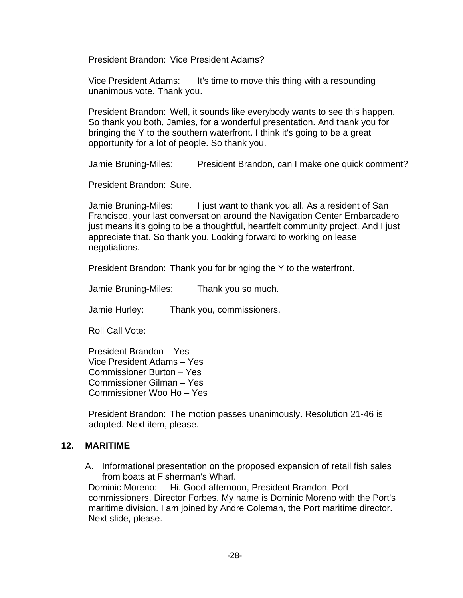President Brandon: Vice President Adams?

Vice President Adams: It's time to move this thing with a resounding unanimous vote. Thank you.

President Brandon: Well, it sounds like everybody wants to see this happen. So thank you both, Jamies, for a wonderful presentation. And thank you for bringing the Y to the southern waterfront. I think it's going to be a great opportunity for a lot of people. So thank you.

Jamie Bruning-Miles: President Brandon, can I make one quick comment?

President Brandon: Sure.

Jamie Bruning-Miles: I just want to thank you all. As a resident of San Francisco, your last conversation around the Navigation Center Embarcadero just means it's going to be a thoughtful, heartfelt community project. And I just appreciate that. So thank you. Looking forward to working on lease negotiations.

President Brandon: Thank you for bringing the Y to the waterfront.

Jamie Bruning-Miles: Thank you so much.

Jamie Hurley: Thank you, commissioners.

Roll Call Vote:

President Brandon – Yes Vice President Adams – Yes Commissioner Burton – Yes Commissioner Gilman – Yes Commissioner Woo Ho – Yes

President Brandon: The motion passes unanimously. Resolution 21-46 is adopted. Next item, please.

# **12. MARITIME**

A. Informational presentation on the proposed expansion of retail fish sales from boats at Fisherman's Wharf.

Dominic Moreno: Hi. Good afternoon, President Brandon, Port commissioners, Director Forbes. My name is Dominic Moreno with the Port's maritime division. I am joined by Andre Coleman, the Port maritime director. Next slide, please.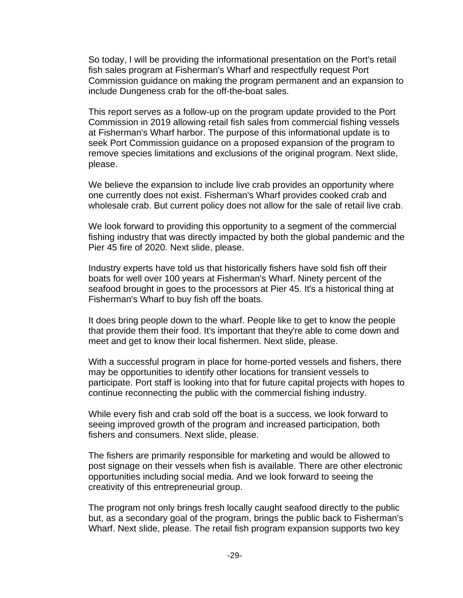So today, I will be providing the informational presentation on the Port's retail fish sales program at Fisherman's Wharf and respectfully request Port Commission guidance on making the program permanent and an expansion to include Dungeness crab for the off-the-boat sales.

This report serves as a follow-up on the program update provided to the Port Commission in 2019 allowing retail fish sales from commercial fishing vessels at Fisherman's Wharf harbor. The purpose of this informational update is to seek Port Commission guidance on a proposed expansion of the program to remove species limitations and exclusions of the original program. Next slide, please.

We believe the expansion to include live crab provides an opportunity where one currently does not exist. Fisherman's Wharf provides cooked crab and wholesale crab. But current policy does not allow for the sale of retail live crab.

We look forward to providing this opportunity to a segment of the commercial fishing industry that was directly impacted by both the global pandemic and the Pier 45 fire of 2020. Next slide, please.

Industry experts have told us that historically fishers have sold fish off their boats for well over 100 years at Fisherman's Wharf. Ninety percent of the seafood brought in goes to the processors at Pier 45. It's a historical thing at Fisherman's Wharf to buy fish off the boats.

It does bring people down to the wharf. People like to get to know the people that provide them their food. It's important that they're able to come down and meet and get to know their local fishermen. Next slide, please.

With a successful program in place for home-ported vessels and fishers, there may be opportunities to identify other locations for transient vessels to participate. Port staff is looking into that for future capital projects with hopes to continue reconnecting the public with the commercial fishing industry.

While every fish and crab sold off the boat is a success, we look forward to seeing improved growth of the program and increased participation, both fishers and consumers. Next slide, please.

The fishers are primarily responsible for marketing and would be allowed to post signage on their vessels when fish is available. There are other electronic opportunities including social media. And we look forward to seeing the creativity of this entrepreneurial group.

The program not only brings fresh locally caught seafood directly to the public but, as a secondary goal of the program, brings the public back to Fisherman's Wharf. Next slide, please. The retail fish program expansion supports two key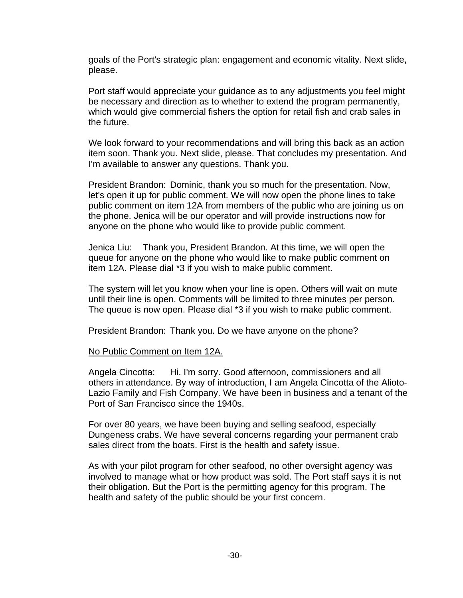goals of the Port's strategic plan: engagement and economic vitality. Next slide, please.

Port staff would appreciate your guidance as to any adjustments you feel might be necessary and direction as to whether to extend the program permanently, which would give commercial fishers the option for retail fish and crab sales in the future.

We look forward to your recommendations and will bring this back as an action item soon. Thank you. Next slide, please. That concludes my presentation. And I'm available to answer any questions. Thank you.

President Brandon: Dominic, thank you so much for the presentation. Now, let's open it up for public comment. We will now open the phone lines to take public comment on item 12A from members of the public who are joining us on the phone. Jenica will be our operator and will provide instructions now for anyone on the phone who would like to provide public comment.

Jenica Liu: Thank you, President Brandon. At this time, we will open the queue for anyone on the phone who would like to make public comment on item 12A. Please dial \*3 if you wish to make public comment.

The system will let you know when your line is open. Others will wait on mute until their line is open. Comments will be limited to three minutes per person. The queue is now open. Please dial \*3 if you wish to make public comment.

President Brandon: Thank you. Do we have anyone on the phone?

# No Public Comment on Item 12A.

Angela Cincotta: Hi. I'm sorry. Good afternoon, commissioners and all others in attendance. By way of introduction, I am Angela Cincotta of the Alioto-Lazio Family and Fish Company. We have been in business and a tenant of the Port of San Francisco since the 1940s.

For over 80 years, we have been buying and selling seafood, especially Dungeness crabs. We have several concerns regarding your permanent crab sales direct from the boats. First is the health and safety issue.

As with your pilot program for other seafood, no other oversight agency was involved to manage what or how product was sold. The Port staff says it is not their obligation. But the Port is the permitting agency for this program. The health and safety of the public should be your first concern.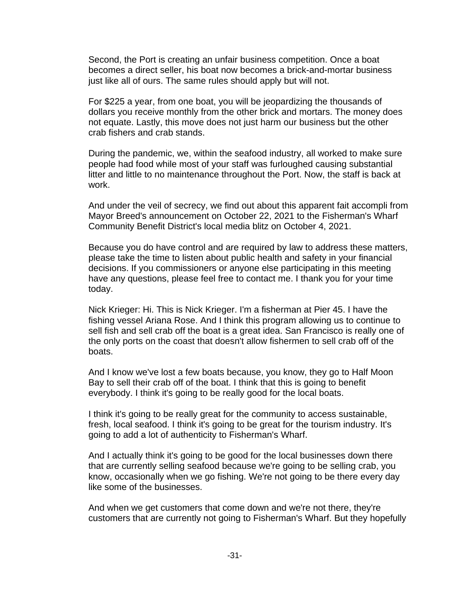Second, the Port is creating an unfair business competition. Once a boat becomes a direct seller, his boat now becomes a brick-and-mortar business just like all of ours. The same rules should apply but will not.

For \$225 a year, from one boat, you will be jeopardizing the thousands of dollars you receive monthly from the other brick and mortars. The money does not equate. Lastly, this move does not just harm our business but the other crab fishers and crab stands.

During the pandemic, we, within the seafood industry, all worked to make sure people had food while most of your staff was furloughed causing substantial litter and little to no maintenance throughout the Port. Now, the staff is back at work.

And under the veil of secrecy, we find out about this apparent fait accompli from Mayor Breed's announcement on October 22, 2021 to the Fisherman's Wharf Community Benefit District's local media blitz on October 4, 2021.

Because you do have control and are required by law to address these matters, please take the time to listen about public health and safety in your financial decisions. If you commissioners or anyone else participating in this meeting have any questions, please feel free to contact me. I thank you for your time today.

Nick Krieger: Hi. This is Nick Krieger. I'm a fisherman at Pier 45. I have the fishing vessel Ariana Rose. And I think this program allowing us to continue to sell fish and sell crab off the boat is a great idea. San Francisco is really one of the only ports on the coast that doesn't allow fishermen to sell crab off of the boats.

And I know we've lost a few boats because, you know, they go to Half Moon Bay to sell their crab off of the boat. I think that this is going to benefit everybody. I think it's going to be really good for the local boats.

I think it's going to be really great for the community to access sustainable, fresh, local seafood. I think it's going to be great for the tourism industry. It's going to add a lot of authenticity to Fisherman's Wharf.

And I actually think it's going to be good for the local businesses down there that are currently selling seafood because we're going to be selling crab, you know, occasionally when we go fishing. We're not going to be there every day like some of the businesses.

And when we get customers that come down and we're not there, they're customers that are currently not going to Fisherman's Wharf. But they hopefully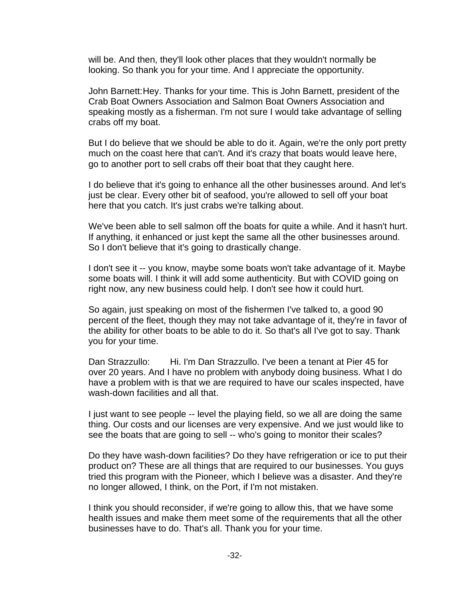will be. And then, they'll look other places that they wouldn't normally be looking. So thank you for your time. And I appreciate the opportunity.

John Barnett:Hey. Thanks for your time. This is John Barnett, president of the Crab Boat Owners Association and Salmon Boat Owners Association and speaking mostly as a fisherman. I'm not sure I would take advantage of selling crabs off my boat.

But I do believe that we should be able to do it. Again, we're the only port pretty much on the coast here that can't. And it's crazy that boats would leave here, go to another port to sell crabs off their boat that they caught here.

I do believe that it's going to enhance all the other businesses around. And let's just be clear. Every other bit of seafood, you're allowed to sell off your boat here that you catch. It's just crabs we're talking about.

We've been able to sell salmon off the boats for quite a while. And it hasn't hurt. If anything, it enhanced or just kept the same all the other businesses around. So I don't believe that it's going to drastically change.

I don't see it -- you know, maybe some boats won't take advantage of it. Maybe some boats will. I think it will add some authenticity. But with COVID going on right now, any new business could help. I don't see how it could hurt.

So again, just speaking on most of the fishermen I've talked to, a good 90 percent of the fleet, though they may not take advantage of it, they're in favor of the ability for other boats to be able to do it. So that's all I've got to say. Thank you for your time.

Dan Strazzullo: Hi. I'm Dan Strazzullo. I've been a tenant at Pier 45 for over 20 years. And I have no problem with anybody doing business. What I do have a problem with is that we are required to have our scales inspected, have wash-down facilities and all that.

I just want to see people -- level the playing field, so we all are doing the same thing. Our costs and our licenses are very expensive. And we just would like to see the boats that are going to sell -- who's going to monitor their scales?

Do they have wash-down facilities? Do they have refrigeration or ice to put their product on? These are all things that are required to our businesses. You guys tried this program with the Pioneer, which I believe was a disaster. And they're no longer allowed, I think, on the Port, if I'm not mistaken.

I think you should reconsider, if we're going to allow this, that we have some health issues and make them meet some of the requirements that all the other businesses have to do. That's all. Thank you for your time.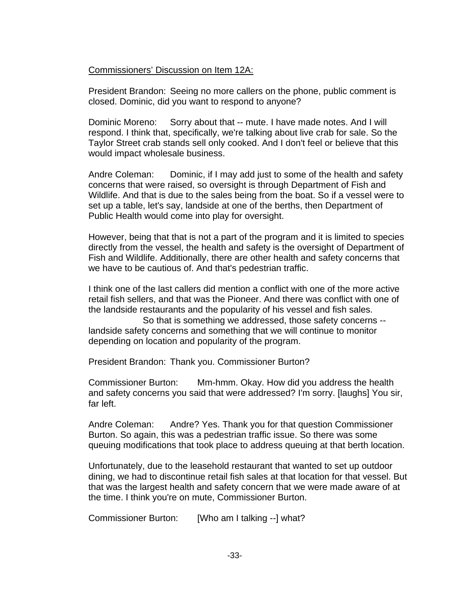# Commissioners' Discussion on Item 12A:

President Brandon: Seeing no more callers on the phone, public comment is closed. Dominic, did you want to respond to anyone?

Dominic Moreno: Sorry about that -- mute. I have made notes. And I will respond. I think that, specifically, we're talking about live crab for sale. So the Taylor Street crab stands sell only cooked. And I don't feel or believe that this would impact wholesale business.

Andre Coleman: Dominic, if I may add just to some of the health and safety concerns that were raised, so oversight is through Department of Fish and Wildlife. And that is due to the sales being from the boat. So if a vessel were to set up a table, let's say, landside at one of the berths, then Department of Public Health would come into play for oversight.

However, being that that is not a part of the program and it is limited to species directly from the vessel, the health and safety is the oversight of Department of Fish and Wildlife. Additionally, there are other health and safety concerns that we have to be cautious of. And that's pedestrian traffic.

I think one of the last callers did mention a conflict with one of the more active retail fish sellers, and that was the Pioneer. And there was conflict with one of the landside restaurants and the popularity of his vessel and fish sales.

So that is something we addressed, those safety concerns - landside safety concerns and something that we will continue to monitor depending on location and popularity of the program.

President Brandon: Thank you. Commissioner Burton?

Commissioner Burton: Mm-hmm. Okay. How did you address the health and safety concerns you said that were addressed? I'm sorry. [laughs] You sir, far left.

Andre Coleman: Andre? Yes. Thank you for that question Commissioner Burton. So again, this was a pedestrian traffic issue. So there was some queuing modifications that took place to address queuing at that berth location.

Unfortunately, due to the leasehold restaurant that wanted to set up outdoor dining, we had to discontinue retail fish sales at that location for that vessel. But that was the largest health and safety concern that we were made aware of at the time. I think you're on mute, Commissioner Burton.

Commissioner Burton: [Who am I talking --] what?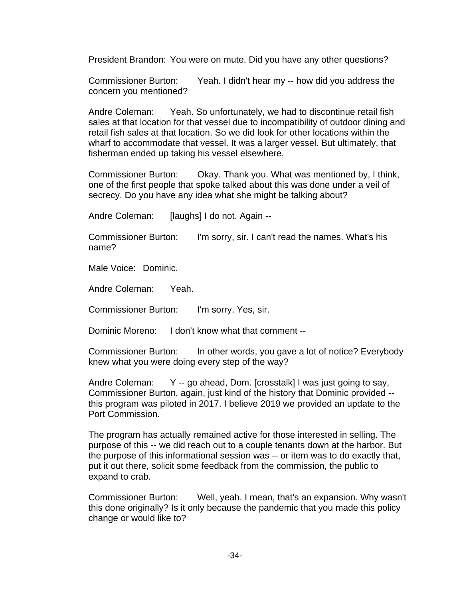President Brandon: You were on mute. Did you have any other questions?

Commissioner Burton: Yeah. I didn't hear my -- how did you address the concern you mentioned?

Andre Coleman: Yeah. So unfortunately, we had to discontinue retail fish sales at that location for that vessel due to incompatibility of outdoor dining and retail fish sales at that location. So we did look for other locations within the wharf to accommodate that vessel. It was a larger vessel. But ultimately, that fisherman ended up taking his vessel elsewhere.

Commissioner Burton: Okay. Thank you. What was mentioned by, I think, one of the first people that spoke talked about this was done under a veil of secrecy. Do you have any idea what she might be talking about?

Andre Coleman: [laughs] I do not. Again --

Commissioner Burton: I'm sorry, sir. I can't read the names. What's his name?

Male Voice: Dominic.

Andre Coleman: Yeah.

Commissioner Burton: I'm sorry. Yes, sir.

Dominic Moreno: I don't know what that comment --

Commissioner Burton: In other words, you gave a lot of notice? Everybody knew what you were doing every step of the way?

Andre Coleman: Y -- go ahead, Dom. [crosstalk] I was just going to say, Commissioner Burton, again, just kind of the history that Dominic provided - this program was piloted in 2017. I believe 2019 we provided an update to the Port Commission.

The program has actually remained active for those interested in selling. The purpose of this -- we did reach out to a couple tenants down at the harbor. But the purpose of this informational session was -- or item was to do exactly that, put it out there, solicit some feedback from the commission, the public to expand to crab.

Commissioner Burton: Well, yeah. I mean, that's an expansion. Why wasn't this done originally? Is it only because the pandemic that you made this policy change or would like to?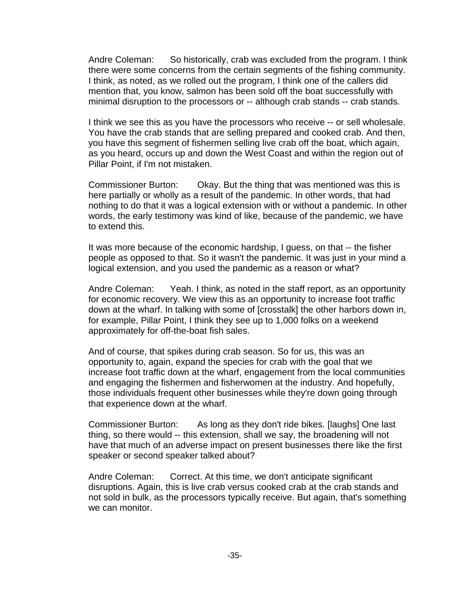Andre Coleman: So historically, crab was excluded from the program. I think there were some concerns from the certain segments of the fishing community. I think, as noted, as we rolled out the program, I think one of the callers did mention that, you know, salmon has been sold off the boat successfully with minimal disruption to the processors or -- although crab stands -- crab stands.

I think we see this as you have the processors who receive -- or sell wholesale. You have the crab stands that are selling prepared and cooked crab. And then, you have this segment of fishermen selling live crab off the boat, which again, as you heard, occurs up and down the West Coast and within the region out of Pillar Point, if I'm not mistaken.

Commissioner Burton: Okay. But the thing that was mentioned was this is here partially or wholly as a result of the pandemic. In other words, that had nothing to do that it was a logical extension with or without a pandemic. In other words, the early testimony was kind of like, because of the pandemic, we have to extend this.

It was more because of the economic hardship, I guess, on that -- the fisher people as opposed to that. So it wasn't the pandemic. It was just in your mind a logical extension, and you used the pandemic as a reason or what?

Andre Coleman: Yeah. I think, as noted in the staff report, as an opportunity for economic recovery. We view this as an opportunity to increase foot traffic down at the wharf. In talking with some of [crosstalk] the other harbors down in, for example, Pillar Point, I think they see up to 1,000 folks on a weekend approximately for off-the-boat fish sales.

And of course, that spikes during crab season. So for us, this was an opportunity to, again, expand the species for crab with the goal that we increase foot traffic down at the wharf, engagement from the local communities and engaging the fishermen and fisherwomen at the industry. And hopefully, those individuals frequent other businesses while they're down going through that experience down at the wharf.

Commissioner Burton: As long as they don't ride bikes. [laughs] One last thing, so there would -- this extension, shall we say, the broadening will not have that much of an adverse impact on present businesses there like the first speaker or second speaker talked about?

Andre Coleman: Correct. At this time, we don't anticipate significant disruptions. Again, this is live crab versus cooked crab at the crab stands and not sold in bulk, as the processors typically receive. But again, that's something we can monitor.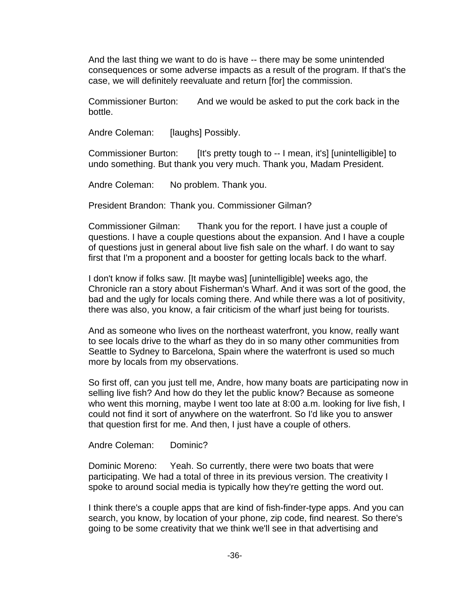And the last thing we want to do is have -- there may be some unintended consequences or some adverse impacts as a result of the program. If that's the case, we will definitely reevaluate and return [for] the commission.

Commissioner Burton: And we would be asked to put the cork back in the bottle.

Andre Coleman: [laughs] Possibly.

Commissioner Burton: [It's pretty tough to -- I mean, it's] [unintelligible] to undo something. But thank you very much. Thank you, Madam President.

Andre Coleman: No problem. Thank you.

President Brandon: Thank you. Commissioner Gilman?

Commissioner Gilman: Thank you for the report. I have just a couple of questions. I have a couple questions about the expansion. And I have a couple of questions just in general about live fish sale on the wharf. I do want to say first that I'm a proponent and a booster for getting locals back to the wharf.

I don't know if folks saw. [It maybe was] [unintelligible] weeks ago, the Chronicle ran a story about Fisherman's Wharf. And it was sort of the good, the bad and the ugly for locals coming there. And while there was a lot of positivity, there was also, you know, a fair criticism of the wharf just being for tourists.

And as someone who lives on the northeast waterfront, you know, really want to see locals drive to the wharf as they do in so many other communities from Seattle to Sydney to Barcelona, Spain where the waterfront is used so much more by locals from my observations.

So first off, can you just tell me, Andre, how many boats are participating now in selling live fish? And how do they let the public know? Because as someone who went this morning, maybe I went too late at 8:00 a.m. looking for live fish, I could not find it sort of anywhere on the waterfront. So I'd like you to answer that question first for me. And then, I just have a couple of others.

Andre Coleman: Dominic?

Dominic Moreno: Yeah. So currently, there were two boats that were participating. We had a total of three in its previous version. The creativity I spoke to around social media is typically how they're getting the word out.

I think there's a couple apps that are kind of fish-finder-type apps. And you can search, you know, by location of your phone, zip code, find nearest. So there's going to be some creativity that we think we'll see in that advertising and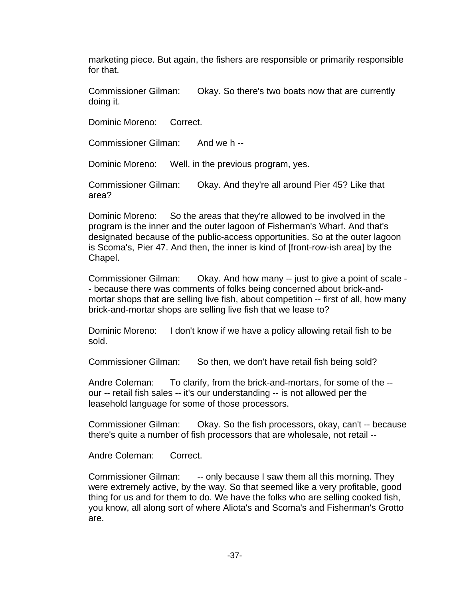marketing piece. But again, the fishers are responsible or primarily responsible for that.

Commissioner Gilman: Okay. So there's two boats now that are currently doing it.

Dominic Moreno: Correct.

Commissioner Gilman: And we h --

Dominic Moreno: Well, in the previous program, yes.

Commissioner Gilman: Okay. And they're all around Pier 45? Like that area?

Dominic Moreno: So the areas that they're allowed to be involved in the program is the inner and the outer lagoon of Fisherman's Wharf. And that's designated because of the public-access opportunities. So at the outer lagoon is Scoma's, Pier 47. And then, the inner is kind of [front-row-ish area] by the Chapel.

Commissioner Gilman: Okay. And how many -- just to give a point of scale - - because there was comments of folks being concerned about brick-andmortar shops that are selling live fish, about competition -- first of all, how many brick-and-mortar shops are selling live fish that we lease to?

Dominic Moreno: I don't know if we have a policy allowing retail fish to be sold.

Commissioner Gilman: So then, we don't have retail fish being sold?

Andre Coleman: To clarify, from the brick-and-mortars, for some of the - our -- retail fish sales -- it's our understanding -- is not allowed per the leasehold language for some of those processors.

Commissioner Gilman: Okay. So the fish processors, okay, can't -- because there's quite a number of fish processors that are wholesale, not retail --

Andre Coleman: Correct.

Commissioner Gilman: -- only because I saw them all this morning. They were extremely active, by the way. So that seemed like a very profitable, good thing for us and for them to do. We have the folks who are selling cooked fish, you know, all along sort of where Aliota's and Scoma's and Fisherman's Grotto are.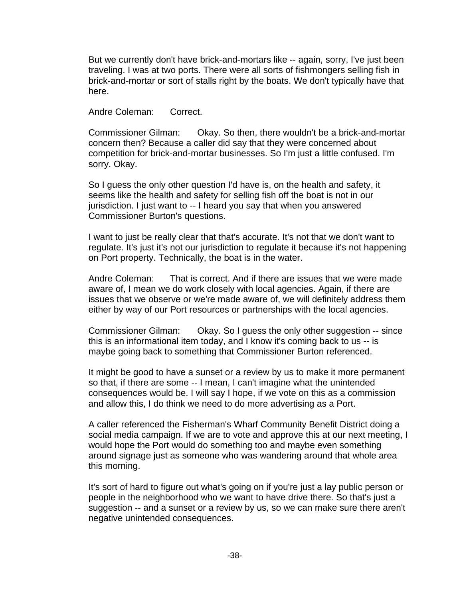But we currently don't have brick-and-mortars like -- again, sorry, I've just been traveling. I was at two ports. There were all sorts of fishmongers selling fish in brick-and-mortar or sort of stalls right by the boats. We don't typically have that here.

Andre Coleman: Correct.

Commissioner Gilman: Okay. So then, there wouldn't be a brick-and-mortar concern then? Because a caller did say that they were concerned about competition for brick-and-mortar businesses. So I'm just a little confused. I'm sorry. Okay.

So I guess the only other question I'd have is, on the health and safety, it seems like the health and safety for selling fish off the boat is not in our jurisdiction. I just want to -- I heard you say that when you answered Commissioner Burton's questions.

I want to just be really clear that that's accurate. It's not that we don't want to regulate. It's just it's not our jurisdiction to regulate it because it's not happening on Port property. Technically, the boat is in the water.

Andre Coleman: That is correct. And if there are issues that we were made aware of, I mean we do work closely with local agencies. Again, if there are issues that we observe or we're made aware of, we will definitely address them either by way of our Port resources or partnerships with the local agencies.

Commissioner Gilman: Okay. So I guess the only other suggestion -- since this is an informational item today, and I know it's coming back to us -- is maybe going back to something that Commissioner Burton referenced.

It might be good to have a sunset or a review by us to make it more permanent so that, if there are some -- I mean, I can't imagine what the unintended consequences would be. I will say I hope, if we vote on this as a commission and allow this, I do think we need to do more advertising as a Port.

A caller referenced the Fisherman's Wharf Community Benefit District doing a social media campaign. If we are to vote and approve this at our next meeting, I would hope the Port would do something too and maybe even something around signage just as someone who was wandering around that whole area this morning.

It's sort of hard to figure out what's going on if you're just a lay public person or people in the neighborhood who we want to have drive there. So that's just a suggestion -- and a sunset or a review by us, so we can make sure there aren't negative unintended consequences.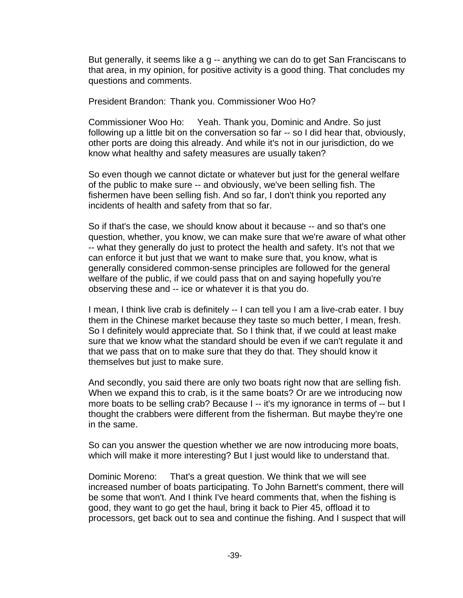But generally, it seems like a g -- anything we can do to get San Franciscans to that area, in my opinion, for positive activity is a good thing. That concludes my questions and comments.

President Brandon: Thank you. Commissioner Woo Ho?

Commissioner Woo Ho: Yeah. Thank you, Dominic and Andre. So just following up a little bit on the conversation so far -- so I did hear that, obviously, other ports are doing this already. And while it's not in our jurisdiction, do we know what healthy and safety measures are usually taken?

So even though we cannot dictate or whatever but just for the general welfare of the public to make sure -- and obviously, we've been selling fish. The fishermen have been selling fish. And so far, I don't think you reported any incidents of health and safety from that so far.

So if that's the case, we should know about it because -- and so that's one question, whether, you know, we can make sure that we're aware of what other -- what they generally do just to protect the health and safety. It's not that we can enforce it but just that we want to make sure that, you know, what is generally considered common-sense principles are followed for the general welfare of the public, if we could pass that on and saying hopefully you're observing these and -- ice or whatever it is that you do.

I mean, I think live crab is definitely -- I can tell you I am a live-crab eater. I buy them in the Chinese market because they taste so much better, I mean, fresh. So I definitely would appreciate that. So I think that, if we could at least make sure that we know what the standard should be even if we can't regulate it and that we pass that on to make sure that they do that. They should know it themselves but just to make sure.

And secondly, you said there are only two boats right now that are selling fish. When we expand this to crab, is it the same boats? Or are we introducing now more boats to be selling crab? Because I -- it's my ignorance in terms of -- but I thought the crabbers were different from the fisherman. But maybe they're one in the same.

So can you answer the question whether we are now introducing more boats, which will make it more interesting? But I just would like to understand that.

Dominic Moreno: That's a great question. We think that we will see increased number of boats participating. To John Barnett's comment, there will be some that won't. And I think I've heard comments that, when the fishing is good, they want to go get the haul, bring it back to Pier 45, offload it to processors, get back out to sea and continue the fishing. And I suspect that will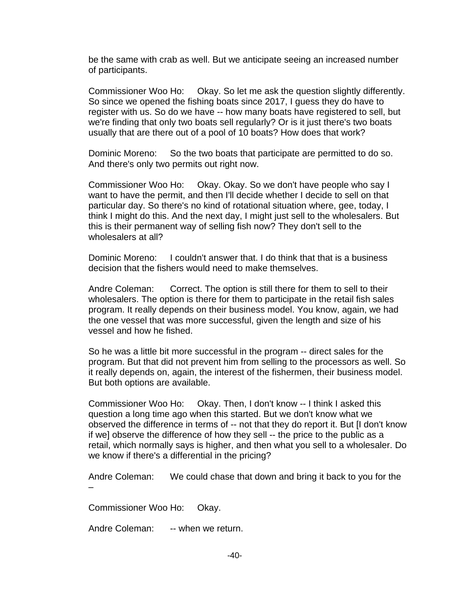be the same with crab as well. But we anticipate seeing an increased number of participants.

Commissioner Woo Ho: Okay. So let me ask the question slightly differently. So since we opened the fishing boats since 2017, I guess they do have to register with us. So do we have -- how many boats have registered to sell, but we're finding that only two boats sell regularly? Or is it just there's two boats usually that are there out of a pool of 10 boats? How does that work?

Dominic Moreno: So the two boats that participate are permitted to do so. And there's only two permits out right now.

Commissioner Woo Ho: Okay. Okay. So we don't have people who say I want to have the permit, and then I'll decide whether I decide to sell on that particular day. So there's no kind of rotational situation where, gee, today, I think I might do this. And the next day, I might just sell to the wholesalers. But this is their permanent way of selling fish now? They don't sell to the wholesalers at all?

Dominic Moreno: I couldn't answer that. I do think that that is a business decision that the fishers would need to make themselves.

Andre Coleman: Correct. The option is still there for them to sell to their wholesalers. The option is there for them to participate in the retail fish sales program. It really depends on their business model. You know, again, we had the one vessel that was more successful, given the length and size of his vessel and how he fished.

So he was a little bit more successful in the program -- direct sales for the program. But that did not prevent him from selling to the processors as well. So it really depends on, again, the interest of the fishermen, their business model. But both options are available.

Commissioner Woo Ho: Okay. Then, I don't know -- I think I asked this question a long time ago when this started. But we don't know what we observed the difference in terms of -- not that they do report it. But [I don't know if we] observe the difference of how they sell -- the price to the public as a retail, which normally says is higher, and then what you sell to a wholesaler. Do we know if there's a differential in the pricing?

Andre Coleman: We could chase that down and bring it back to you for the –

Commissioner Woo Ho: Okay.

Andre Coleman: -- when we return.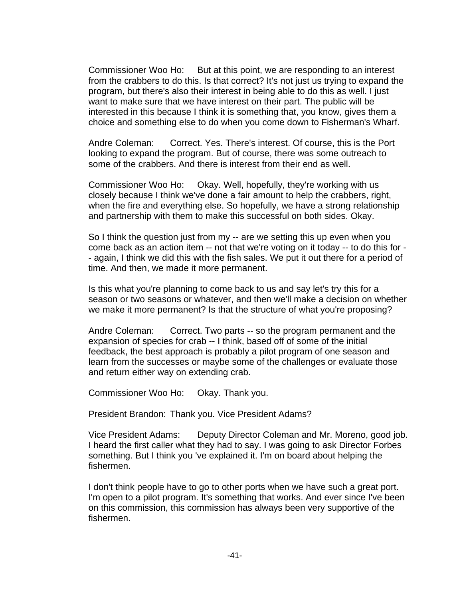Commissioner Woo Ho: But at this point, we are responding to an interest from the crabbers to do this. Is that correct? It's not just us trying to expand the program, but there's also their interest in being able to do this as well. I just want to make sure that we have interest on their part. The public will be interested in this because I think it is something that, you know, gives them a choice and something else to do when you come down to Fisherman's Wharf.

Andre Coleman: Correct. Yes. There's interest. Of course, this is the Port looking to expand the program. But of course, there was some outreach to some of the crabbers. And there is interest from their end as well.

Commissioner Woo Ho: Okay. Well, hopefully, they're working with us closely because I think we've done a fair amount to help the crabbers, right, when the fire and everything else. So hopefully, we have a strong relationship and partnership with them to make this successful on both sides. Okay.

So I think the question just from my -- are we setting this up even when you come back as an action item -- not that we're voting on it today -- to do this for - - again, I think we did this with the fish sales. We put it out there for a period of time. And then, we made it more permanent.

Is this what you're planning to come back to us and say let's try this for a season or two seasons or whatever, and then we'll make a decision on whether we make it more permanent? Is that the structure of what you're proposing?

Andre Coleman: Correct. Two parts -- so the program permanent and the expansion of species for crab -- I think, based off of some of the initial feedback, the best approach is probably a pilot program of one season and learn from the successes or maybe some of the challenges or evaluate those and return either way on extending crab.

Commissioner Woo Ho: Okay. Thank you.

President Brandon: Thank you. Vice President Adams?

Vice President Adams: Deputy Director Coleman and Mr. Moreno, good job. I heard the first caller what they had to say. I was going to ask Director Forbes something. But I think you 've explained it. I'm on board about helping the fishermen.

I don't think people have to go to other ports when we have such a great port. I'm open to a pilot program. It's something that works. And ever since I've been on this commission, this commission has always been very supportive of the fishermen.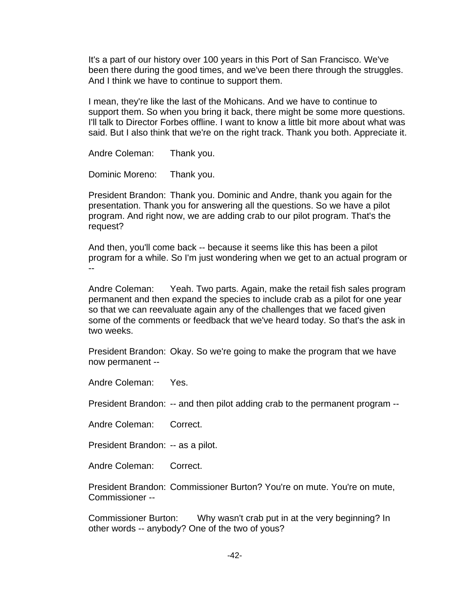It's a part of our history over 100 years in this Port of San Francisco. We've been there during the good times, and we've been there through the struggles. And I think we have to continue to support them.

I mean, they're like the last of the Mohicans. And we have to continue to support them. So when you bring it back, there might be some more questions. I'll talk to Director Forbes offline. I want to know a little bit more about what was said. But I also think that we're on the right track. Thank you both. Appreciate it.

Andre Coleman: Thank you.

Dominic Moreno: Thank you.

President Brandon: Thank you. Dominic and Andre, thank you again for the presentation. Thank you for answering all the questions. So we have a pilot program. And right now, we are adding crab to our pilot program. That's the request?

And then, you'll come back -- because it seems like this has been a pilot program for a while. So I'm just wondering when we get to an actual program or --

Andre Coleman: Yeah. Two parts. Again, make the retail fish sales program permanent and then expand the species to include crab as a pilot for one year so that we can reevaluate again any of the challenges that we faced given some of the comments or feedback that we've heard today. So that's the ask in two weeks.

President Brandon: Okay. So we're going to make the program that we have now permanent --

Andre Coleman: Yes.

President Brandon: -- and then pilot adding crab to the permanent program --

Andre Coleman: Correct.

President Brandon: -- as a pilot.

Andre Coleman: Correct.

President Brandon: Commissioner Burton? You're on mute. You're on mute, Commissioner --

Commissioner Burton: Why wasn't crab put in at the very beginning? In other words -- anybody? One of the two of yous?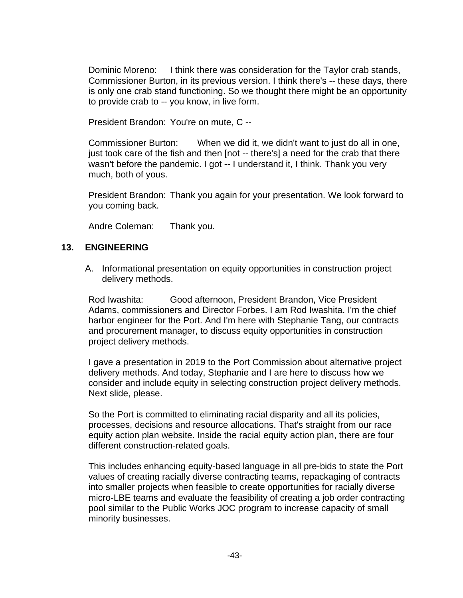Dominic Moreno: I think there was consideration for the Taylor crab stands, Commissioner Burton, in its previous version. I think there's -- these days, there is only one crab stand functioning. So we thought there might be an opportunity to provide crab to -- you know, in live form.

President Brandon: You're on mute, C --

Commissioner Burton: When we did it, we didn't want to just do all in one, just took care of the fish and then [not -- there's] a need for the crab that there wasn't before the pandemic. I got -- I understand it, I think. Thank you very much, both of yous.

President Brandon: Thank you again for your presentation. We look forward to you coming back.

Andre Coleman: Thank you.

# **13. ENGINEERING**

A. Informational presentation on equity opportunities in construction project delivery methods.

Rod Iwashita: Good afternoon, President Brandon, Vice President Adams, commissioners and Director Forbes. I am Rod Iwashita. I'm the chief harbor engineer for the Port. And I'm here with Stephanie Tang, our contracts and procurement manager, to discuss equity opportunities in construction project delivery methods.

I gave a presentation in 2019 to the Port Commission about alternative project delivery methods. And today, Stephanie and I are here to discuss how we consider and include equity in selecting construction project delivery methods. Next slide, please.

So the Port is committed to eliminating racial disparity and all its policies, processes, decisions and resource allocations. That's straight from our race equity action plan website. Inside the racial equity action plan, there are four different construction-related goals.

This includes enhancing equity-based language in all pre-bids to state the Port values of creating racially diverse contracting teams, repackaging of contracts into smaller projects when feasible to create opportunities for racially diverse micro-LBE teams and evaluate the feasibility of creating a job order contracting pool similar to the Public Works JOC program to increase capacity of small minority businesses.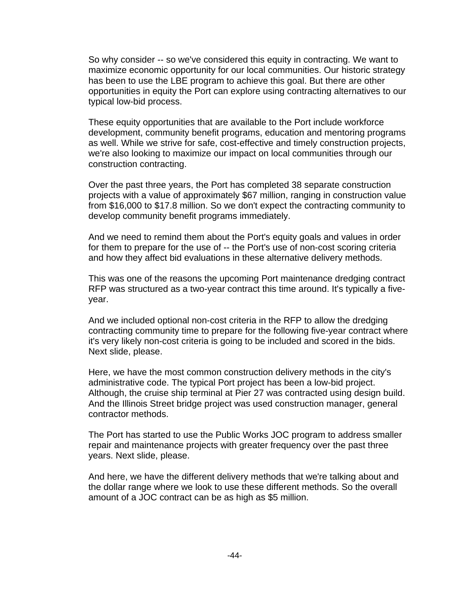So why consider -- so we've considered this equity in contracting. We want to maximize economic opportunity for our local communities. Our historic strategy has been to use the LBE program to achieve this goal. But there are other opportunities in equity the Port can explore using contracting alternatives to our typical low-bid process.

These equity opportunities that are available to the Port include workforce development, community benefit programs, education and mentoring programs as well. While we strive for safe, cost-effective and timely construction projects, we're also looking to maximize our impact on local communities through our construction contracting.

Over the past three years, the Port has completed 38 separate construction projects with a value of approximately \$67 million, ranging in construction value from \$16,000 to \$17.8 million. So we don't expect the contracting community to develop community benefit programs immediately.

And we need to remind them about the Port's equity goals and values in order for them to prepare for the use of -- the Port's use of non-cost scoring criteria and how they affect bid evaluations in these alternative delivery methods.

This was one of the reasons the upcoming Port maintenance dredging contract RFP was structured as a two-year contract this time around. It's typically a fiveyear.

And we included optional non-cost criteria in the RFP to allow the dredging contracting community time to prepare for the following five-year contract where it's very likely non-cost criteria is going to be included and scored in the bids. Next slide, please.

Here, we have the most common construction delivery methods in the city's administrative code. The typical Port project has been a low-bid project. Although, the cruise ship terminal at Pier 27 was contracted using design build. And the Illinois Street bridge project was used construction manager, general contractor methods.

The Port has started to use the Public Works JOC program to address smaller repair and maintenance projects with greater frequency over the past three years. Next slide, please.

And here, we have the different delivery methods that we're talking about and the dollar range where we look to use these different methods. So the overall amount of a JOC contract can be as high as \$5 million.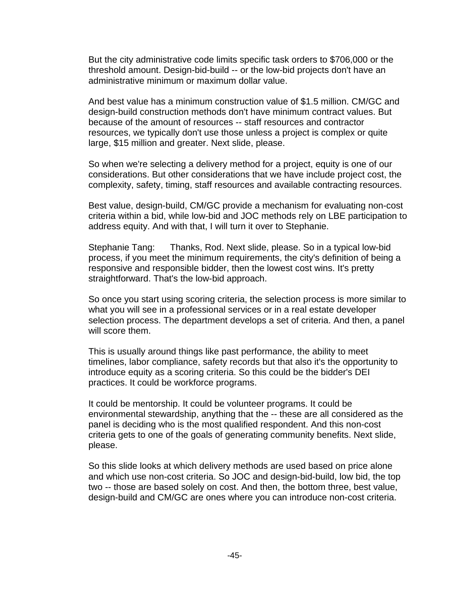But the city administrative code limits specific task orders to \$706,000 or the threshold amount. Design-bid-build -- or the low-bid projects don't have an administrative minimum or maximum dollar value.

And best value has a minimum construction value of \$1.5 million. CM/GC and design-build construction methods don't have minimum contract values. But because of the amount of resources -- staff resources and contractor resources, we typically don't use those unless a project is complex or quite large, \$15 million and greater. Next slide, please.

So when we're selecting a delivery method for a project, equity is one of our considerations. But other considerations that we have include project cost, the complexity, safety, timing, staff resources and available contracting resources.

Best value, design-build, CM/GC provide a mechanism for evaluating non-cost criteria within a bid, while low-bid and JOC methods rely on LBE participation to address equity. And with that, I will turn it over to Stephanie.

Stephanie Tang: Thanks, Rod. Next slide, please. So in a typical low-bid process, if you meet the minimum requirements, the city's definition of being a responsive and responsible bidder, then the lowest cost wins. It's pretty straightforward. That's the low-bid approach.

So once you start using scoring criteria, the selection process is more similar to what you will see in a professional services or in a real estate developer selection process. The department develops a set of criteria. And then, a panel will score them.

This is usually around things like past performance, the ability to meet timelines, labor compliance, safety records but that also it's the opportunity to introduce equity as a scoring criteria. So this could be the bidder's DEI practices. It could be workforce programs.

It could be mentorship. It could be volunteer programs. It could be environmental stewardship, anything that the -- these are all considered as the panel is deciding who is the most qualified respondent. And this non-cost criteria gets to one of the goals of generating community benefits. Next slide, please.

So this slide looks at which delivery methods are used based on price alone and which use non-cost criteria. So JOC and design-bid-build, low bid, the top two -- those are based solely on cost. And then, the bottom three, best value, design-build and CM/GC are ones where you can introduce non-cost criteria.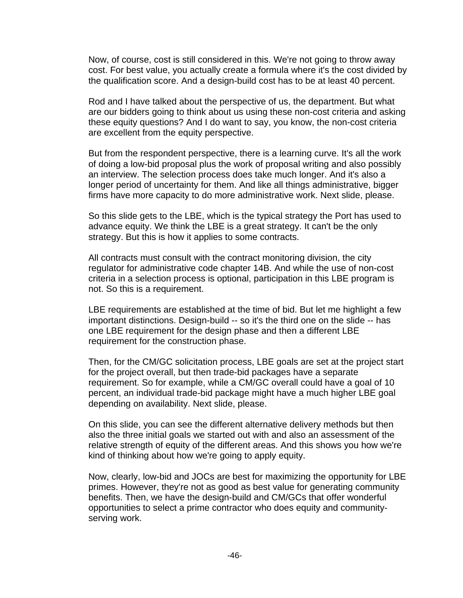Now, of course, cost is still considered in this. We're not going to throw away cost. For best value, you actually create a formula where it's the cost divided by the qualification score. And a design-build cost has to be at least 40 percent.

Rod and I have talked about the perspective of us, the department. But what are our bidders going to think about us using these non-cost criteria and asking these equity questions? And I do want to say, you know, the non-cost criteria are excellent from the equity perspective.

But from the respondent perspective, there is a learning curve. It's all the work of doing a low-bid proposal plus the work of proposal writing and also possibly an interview. The selection process does take much longer. And it's also a longer period of uncertainty for them. And like all things administrative, bigger firms have more capacity to do more administrative work. Next slide, please.

So this slide gets to the LBE, which is the typical strategy the Port has used to advance equity. We think the LBE is a great strategy. It can't be the only strategy. But this is how it applies to some contracts.

All contracts must consult with the contract monitoring division, the city regulator for administrative code chapter 14B. And while the use of non-cost criteria in a selection process is optional, participation in this LBE program is not. So this is a requirement.

LBE requirements are established at the time of bid. But let me highlight a few important distinctions. Design-build -- so it's the third one on the slide -- has one LBE requirement for the design phase and then a different LBE requirement for the construction phase.

Then, for the CM/GC solicitation process, LBE goals are set at the project start for the project overall, but then trade-bid packages have a separate requirement. So for example, while a CM/GC overall could have a goal of 10 percent, an individual trade-bid package might have a much higher LBE goal depending on availability. Next slide, please.

On this slide, you can see the different alternative delivery methods but then also the three initial goals we started out with and also an assessment of the relative strength of equity of the different areas. And this shows you how we're kind of thinking about how we're going to apply equity.

Now, clearly, low-bid and JOCs are best for maximizing the opportunity for LBE primes. However, they're not as good as best value for generating community benefits. Then, we have the design-build and CM/GCs that offer wonderful opportunities to select a prime contractor who does equity and communityserving work.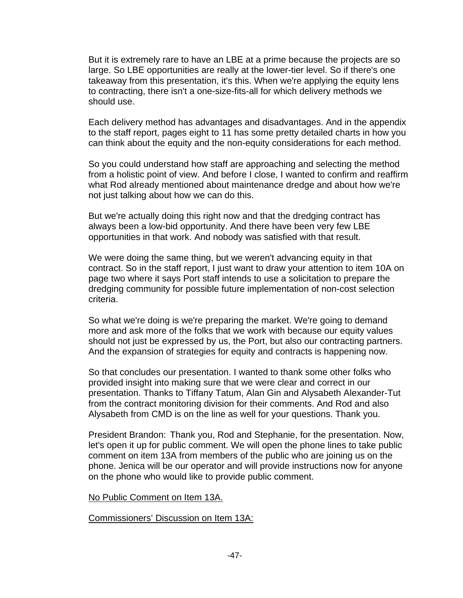But it is extremely rare to have an LBE at a prime because the projects are so large. So LBE opportunities are really at the lower-tier level. So if there's one takeaway from this presentation, it's this. When we're applying the equity lens to contracting, there isn't a one-size-fits-all for which delivery methods we should use.

Each delivery method has advantages and disadvantages. And in the appendix to the staff report, pages eight to 11 has some pretty detailed charts in how you can think about the equity and the non-equity considerations for each method.

So you could understand how staff are approaching and selecting the method from a holistic point of view. And before I close, I wanted to confirm and reaffirm what Rod already mentioned about maintenance dredge and about how we're not just talking about how we can do this.

But we're actually doing this right now and that the dredging contract has always been a low-bid opportunity. And there have been very few LBE opportunities in that work. And nobody was satisfied with that result.

We were doing the same thing, but we weren't advancing equity in that contract. So in the staff report, I just want to draw your attention to item 10A on page two where it says Port staff intends to use a solicitation to prepare the dredging community for possible future implementation of non-cost selection criteria.

So what we're doing is we're preparing the market. We're going to demand more and ask more of the folks that we work with because our equity values should not just be expressed by us, the Port, but also our contracting partners. And the expansion of strategies for equity and contracts is happening now.

So that concludes our presentation. I wanted to thank some other folks who provided insight into making sure that we were clear and correct in our presentation. Thanks to Tiffany Tatum, Alan Gin and Alysabeth Alexander-Tut from the contract monitoring division for their comments. And Rod and also Alysabeth from CMD is on the line as well for your questions. Thank you.

President Brandon: Thank you, Rod and Stephanie, for the presentation. Now, let's open it up for public comment. We will open the phone lines to take public comment on item 13A from members of the public who are joining us on the phone. Jenica will be our operator and will provide instructions now for anyone on the phone who would like to provide public comment.

#### No Public Comment on Item 13A.

Commissioners' Discussion on Item 13A: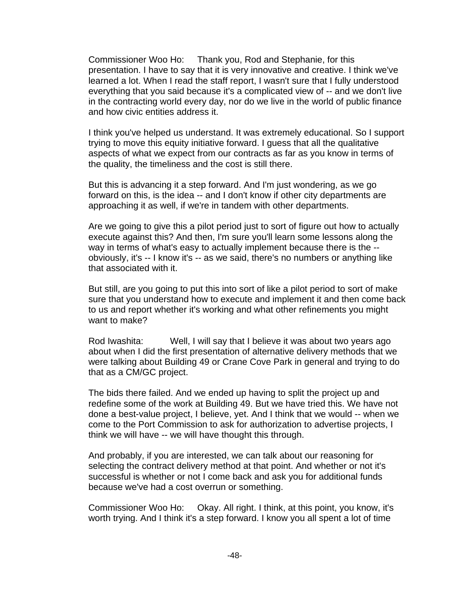Commissioner Woo Ho: Thank you, Rod and Stephanie, for this presentation. I have to say that it is very innovative and creative. I think we've learned a lot. When I read the staff report, I wasn't sure that I fully understood everything that you said because it's a complicated view of -- and we don't live in the contracting world every day, nor do we live in the world of public finance and how civic entities address it.

I think you've helped us understand. It was extremely educational. So I support trying to move this equity initiative forward. I guess that all the qualitative aspects of what we expect from our contracts as far as you know in terms of the quality, the timeliness and the cost is still there.

But this is advancing it a step forward. And I'm just wondering, as we go forward on this, is the idea -- and I don't know if other city departments are approaching it as well, if we're in tandem with other departments.

Are we going to give this a pilot period just to sort of figure out how to actually execute against this? And then, I'm sure you'll learn some lessons along the way in terms of what's easy to actually implement because there is the -obviously, it's -- I know it's -- as we said, there's no numbers or anything like that associated with it.

But still, are you going to put this into sort of like a pilot period to sort of make sure that you understand how to execute and implement it and then come back to us and report whether it's working and what other refinements you might want to make?

Rod Iwashita: Well, I will say that I believe it was about two years ago about when I did the first presentation of alternative delivery methods that we were talking about Building 49 or Crane Cove Park in general and trying to do that as a CM/GC project.

The bids there failed. And we ended up having to split the project up and redefine some of the work at Building 49. But we have tried this. We have not done a best-value project, I believe, yet. And I think that we would -- when we come to the Port Commission to ask for authorization to advertise projects, I think we will have -- we will have thought this through.

And probably, if you are interested, we can talk about our reasoning for selecting the contract delivery method at that point. And whether or not it's successful is whether or not I come back and ask you for additional funds because we've had a cost overrun or something.

Commissioner Woo Ho: Okay. All right. I think, at this point, you know, it's worth trying. And I think it's a step forward. I know you all spent a lot of time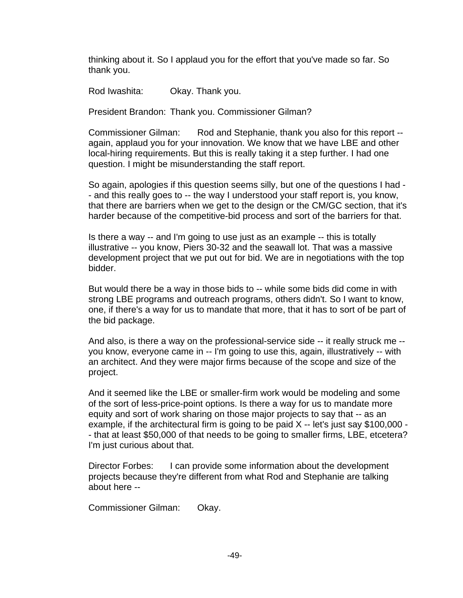thinking about it. So I applaud you for the effort that you've made so far. So thank you.

Rod Iwashita: Okay. Thank you.

President Brandon: Thank you. Commissioner Gilman?

Commissioner Gilman: Rod and Stephanie, thank you also for this report -again, applaud you for your innovation. We know that we have LBE and other local-hiring requirements. But this is really taking it a step further. I had one question. I might be misunderstanding the staff report.

So again, apologies if this question seems silly, but one of the questions I had - - and this really goes to -- the way I understood your staff report is, you know, that there are barriers when we get to the design or the CM/GC section, that it's harder because of the competitive-bid process and sort of the barriers for that.

Is there a way -- and I'm going to use just as an example -- this is totally illustrative -- you know, Piers 30-32 and the seawall lot. That was a massive development project that we put out for bid. We are in negotiations with the top bidder.

But would there be a way in those bids to -- while some bids did come in with strong LBE programs and outreach programs, others didn't. So I want to know, one, if there's a way for us to mandate that more, that it has to sort of be part of the bid package.

And also, is there a way on the professional-service side -- it really struck me - you know, everyone came in -- I'm going to use this, again, illustratively -- with an architect. And they were major firms because of the scope and size of the project.

And it seemed like the LBE or smaller-firm work would be modeling and some of the sort of less-price-point options. Is there a way for us to mandate more equity and sort of work sharing on those major projects to say that -- as an example, if the architectural firm is going to be paid X -- let's just say \$100,000 - - that at least \$50,000 of that needs to be going to smaller firms, LBE, etcetera? I'm just curious about that.

Director Forbes: I can provide some information about the development projects because they're different from what Rod and Stephanie are talking about here --

Commissioner Gilman: Okay.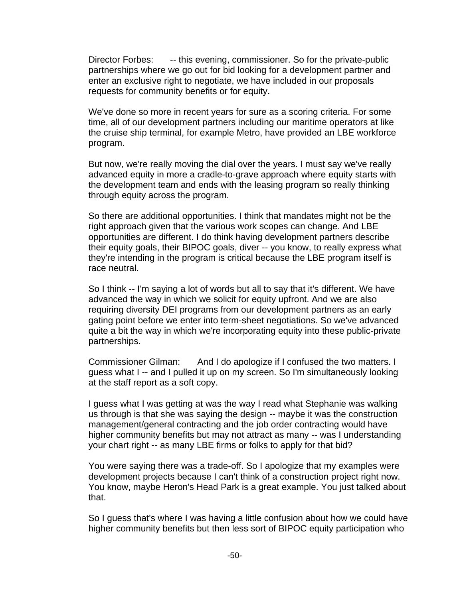Director Forbes: -- this evening, commissioner. So for the private-public partnerships where we go out for bid looking for a development partner and enter an exclusive right to negotiate, we have included in our proposals requests for community benefits or for equity.

We've done so more in recent years for sure as a scoring criteria. For some time, all of our development partners including our maritime operators at like the cruise ship terminal, for example Metro, have provided an LBE workforce program.

But now, we're really moving the dial over the years. I must say we've really advanced equity in more a cradle-to-grave approach where equity starts with the development team and ends with the leasing program so really thinking through equity across the program.

So there are additional opportunities. I think that mandates might not be the right approach given that the various work scopes can change. And LBE opportunities are different. I do think having development partners describe their equity goals, their BIPOC goals, diver -- you know, to really express what they're intending in the program is critical because the LBE program itself is race neutral.

So I think -- I'm saying a lot of words but all to say that it's different. We have advanced the way in which we solicit for equity upfront. And we are also requiring diversity DEI programs from our development partners as an early gating point before we enter into term-sheet negotiations. So we've advanced quite a bit the way in which we're incorporating equity into these public-private partnerships.

Commissioner Gilman: And I do apologize if I confused the two matters. I guess what I -- and I pulled it up on my screen. So I'm simultaneously looking at the staff report as a soft copy.

I guess what I was getting at was the way I read what Stephanie was walking us through is that she was saying the design -- maybe it was the construction management/general contracting and the job order contracting would have higher community benefits but may not attract as many -- was I understanding your chart right -- as many LBE firms or folks to apply for that bid?

You were saying there was a trade-off. So I apologize that my examples were development projects because I can't think of a construction project right now. You know, maybe Heron's Head Park is a great example. You just talked about that.

So I guess that's where I was having a little confusion about how we could have higher community benefits but then less sort of BIPOC equity participation who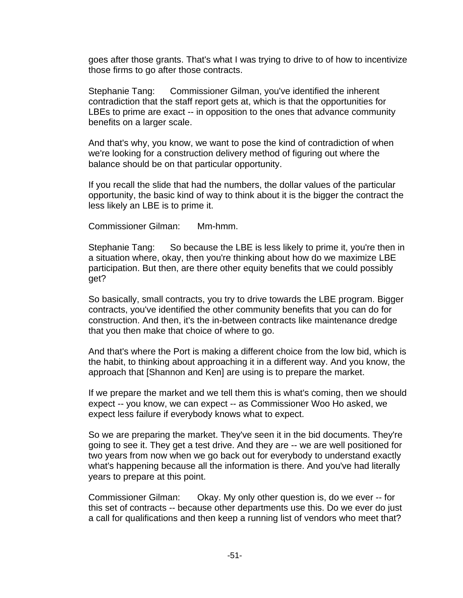goes after those grants. That's what I was trying to drive to of how to incentivize those firms to go after those contracts.

Stephanie Tang: Commissioner Gilman, you've identified the inherent contradiction that the staff report gets at, which is that the opportunities for LBEs to prime are exact -- in opposition to the ones that advance community benefits on a larger scale.

And that's why, you know, we want to pose the kind of contradiction of when we're looking for a construction delivery method of figuring out where the balance should be on that particular opportunity.

If you recall the slide that had the numbers, the dollar values of the particular opportunity, the basic kind of way to think about it is the bigger the contract the less likely an LBE is to prime it.

Commissioner Gilman: Mm-hmm.

Stephanie Tang: So because the LBE is less likely to prime it, you're then in a situation where, okay, then you're thinking about how do we maximize LBE participation. But then, are there other equity benefits that we could possibly get?

So basically, small contracts, you try to drive towards the LBE program. Bigger contracts, you've identified the other community benefits that you can do for construction. And then, it's the in-between contracts like maintenance dredge that you then make that choice of where to go.

And that's where the Port is making a different choice from the low bid, which is the habit, to thinking about approaching it in a different way. And you know, the approach that [Shannon and Ken] are using is to prepare the market.

If we prepare the market and we tell them this is what's coming, then we should expect -- you know, we can expect -- as Commissioner Woo Ho asked, we expect less failure if everybody knows what to expect.

So we are preparing the market. They've seen it in the bid documents. They're going to see it. They get a test drive. And they are -- we are well positioned for two years from now when we go back out for everybody to understand exactly what's happening because all the information is there. And you've had literally years to prepare at this point.

Commissioner Gilman: Okay. My only other question is, do we ever -- for this set of contracts -- because other departments use this. Do we ever do just a call for qualifications and then keep a running list of vendors who meet that?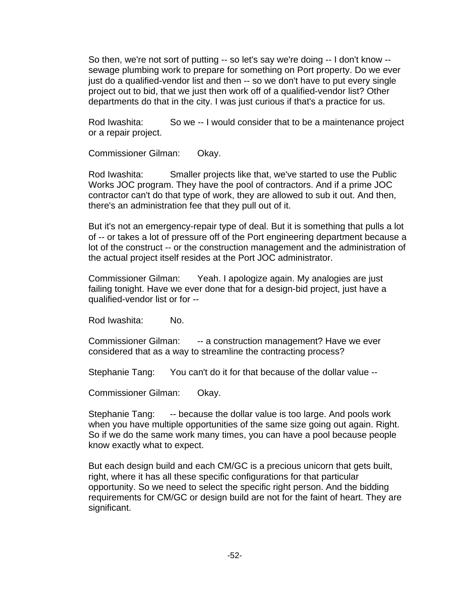So then, we're not sort of putting -- so let's say we're doing -- I don't know - sewage plumbing work to prepare for something on Port property. Do we ever just do a qualified-vendor list and then -- so we don't have to put every single project out to bid, that we just then work off of a qualified-vendor list? Other departments do that in the city. I was just curious if that's a practice for us.

Rod Iwashita: So we -- I would consider that to be a maintenance project or a repair project.

Commissioner Gilman: Okay.

Rod Iwashita: Smaller projects like that, we've started to use the Public Works JOC program. They have the pool of contractors. And if a prime JOC contractor can't do that type of work, they are allowed to sub it out. And then, there's an administration fee that they pull out of it.

But it's not an emergency-repair type of deal. But it is something that pulls a lot of -- or takes a lot of pressure off of the Port engineering department because a lot of the construct -- or the construction management and the administration of the actual project itself resides at the Port JOC administrator.

Commissioner Gilman: Yeah. I apologize again. My analogies are just failing tonight. Have we ever done that for a design-bid project, just have a qualified-vendor list or for --

Rod Iwashita: No.

Commissioner Gilman: -- a construction management? Have we ever considered that as a way to streamline the contracting process?

Stephanie Tang: You can't do it for that because of the dollar value --

Commissioner Gilman: Okay.

Stephanie Tang: -- because the dollar value is too large. And pools work when you have multiple opportunities of the same size going out again. Right. So if we do the same work many times, you can have a pool because people know exactly what to expect.

But each design build and each CM/GC is a precious unicorn that gets built, right, where it has all these specific configurations for that particular opportunity. So we need to select the specific right person. And the bidding requirements for CM/GC or design build are not for the faint of heart. They are significant.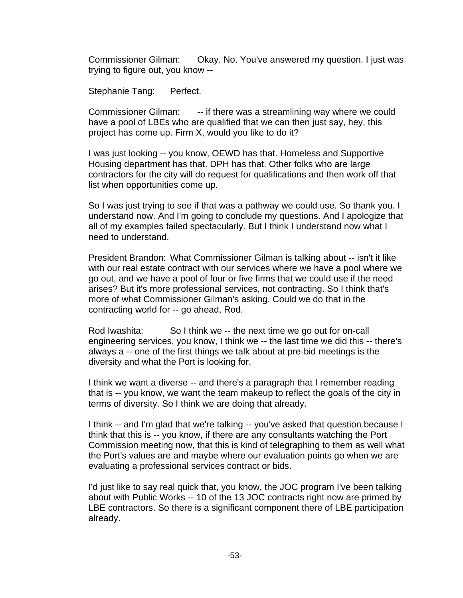Commissioner Gilman: Okay. No. You've answered my question. I just was trying to figure out, you know --

Stephanie Tang: Perfect.

Commissioner Gilman: -- if there was a streamlining way where we could have a pool of LBEs who are qualified that we can then just say, hey, this project has come up. Firm X, would you like to do it?

I was just looking -- you know, OEWD has that. Homeless and Supportive Housing department has that. DPH has that. Other folks who are large contractors for the city will do request for qualifications and then work off that list when opportunities come up.

So I was just trying to see if that was a pathway we could use. So thank you. I understand now. And I'm going to conclude my questions. And I apologize that all of my examples failed spectacularly. But I think I understand now what I need to understand.

President Brandon: What Commissioner Gilman is talking about -- isn't it like with our real estate contract with our services where we have a pool where we go out, and we have a pool of four or five firms that we could use if the need arises? But it's more professional services, not contracting. So I think that's more of what Commissioner Gilman's asking. Could we do that in the contracting world for -- go ahead, Rod.

Rod Iwashita: So I think we -- the next time we go out for on-call engineering services, you know, I think we -- the last time we did this -- there's always a -- one of the first things we talk about at pre-bid meetings is the diversity and what the Port is looking for.

I think we want a diverse -- and there's a paragraph that I remember reading that is -- you know, we want the team makeup to reflect the goals of the city in terms of diversity. So I think we are doing that already.

I think -- and I'm glad that we're talking -- you've asked that question because I think that this is -- you know, if there are any consultants watching the Port Commission meeting now, that this is kind of telegraphing to them as well what the Port's values are and maybe where our evaluation points go when we are evaluating a professional services contract or bids.

I'd just like to say real quick that, you know, the JOC program I've been talking about with Public Works -- 10 of the 13 JOC contracts right now are primed by LBE contractors. So there is a significant component there of LBE participation already.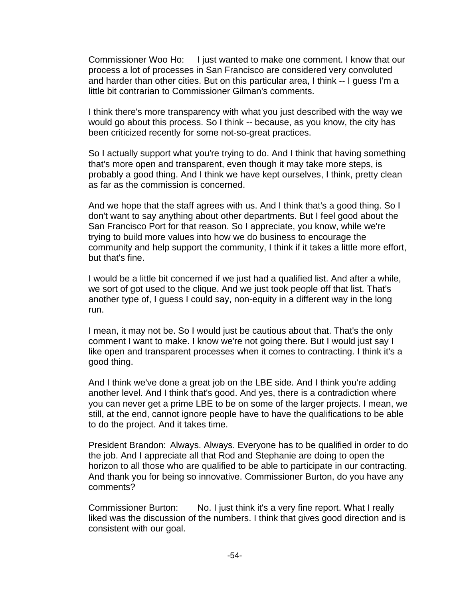Commissioner Woo Ho: I just wanted to make one comment. I know that our process a lot of processes in San Francisco are considered very convoluted and harder than other cities. But on this particular area, I think -- I guess I'm a little bit contrarian to Commissioner Gilman's comments.

I think there's more transparency with what you just described with the way we would go about this process. So I think -- because, as you know, the city has been criticized recently for some not-so-great practices.

So I actually support what you're trying to do. And I think that having something that's more open and transparent, even though it may take more steps, is probably a good thing. And I think we have kept ourselves, I think, pretty clean as far as the commission is concerned.

And we hope that the staff agrees with us. And I think that's a good thing. So I don't want to say anything about other departments. But I feel good about the San Francisco Port for that reason. So I appreciate, you know, while we're trying to build more values into how we do business to encourage the community and help support the community, I think if it takes a little more effort, but that's fine.

I would be a little bit concerned if we just had a qualified list. And after a while, we sort of got used to the clique. And we just took people off that list. That's another type of, I guess I could say, non-equity in a different way in the long run.

I mean, it may not be. So I would just be cautious about that. That's the only comment I want to make. I know we're not going there. But I would just say I like open and transparent processes when it comes to contracting. I think it's a good thing.

And I think we've done a great job on the LBE side. And I think you're adding another level. And I think that's good. And yes, there is a contradiction where you can never get a prime LBE to be on some of the larger projects. I mean, we still, at the end, cannot ignore people have to have the qualifications to be able to do the project. And it takes time.

President Brandon: Always. Always. Everyone has to be qualified in order to do the job. And I appreciate all that Rod and Stephanie are doing to open the horizon to all those who are qualified to be able to participate in our contracting. And thank you for being so innovative. Commissioner Burton, do you have any comments?

Commissioner Burton: No. I just think it's a very fine report. What I really liked was the discussion of the numbers. I think that gives good direction and is consistent with our goal.